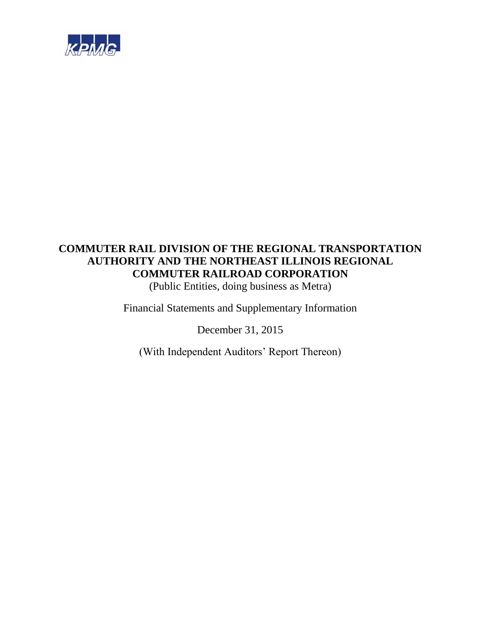

(Public Entities, doing business as Metra)

Financial Statements and Supplementary Information

December 31, 2015

(With Independent Auditors' Report Thereon)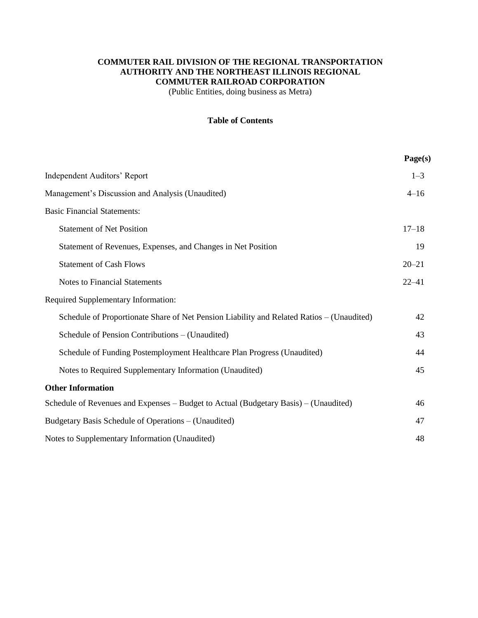(Public Entities, doing business as Metra)

# **Table of Contents**

|                                                                                           | Page(s)   |
|-------------------------------------------------------------------------------------------|-----------|
| <b>Independent Auditors' Report</b>                                                       | $1 - 3$   |
| Management's Discussion and Analysis (Unaudited)                                          | $4 - 16$  |
| <b>Basic Financial Statements:</b>                                                        |           |
| <b>Statement of Net Position</b>                                                          | $17 - 18$ |
| Statement of Revenues, Expenses, and Changes in Net Position                              | 19        |
| <b>Statement of Cash Flows</b>                                                            | $20 - 21$ |
| <b>Notes to Financial Statements</b>                                                      | $22 - 41$ |
| <b>Required Supplementary Information:</b>                                                |           |
| Schedule of Proportionate Share of Net Pension Liability and Related Ratios - (Unaudited) | 42        |
| Schedule of Pension Contributions – (Unaudited)                                           | 43        |
| Schedule of Funding Postemployment Healthcare Plan Progress (Unaudited)                   | 44        |
| Notes to Required Supplementary Information (Unaudited)                                   | 45        |
| <b>Other Information</b>                                                                  |           |
| Schedule of Revenues and Expenses – Budget to Actual (Budgetary Basis) – (Unaudited)      | 46        |
| Budgetary Basis Schedule of Operations - (Unaudited)                                      | 47        |
| Notes to Supplementary Information (Unaudited)                                            | 48        |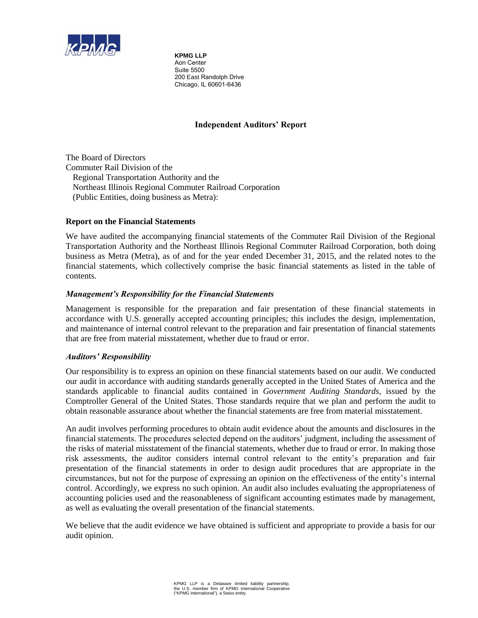

**KPMG LLP**  Aon Center Suite 5500 200 East Randolph Drive Chicago, IL 60601-6436

# **Independent Auditors' Report**

The Board of Directors Commuter Rail Division of the Regional Transportation Authority and the Northeast Illinois Regional Commuter Railroad Corporation (Public Entities, doing business as Metra):

# **Report on the Financial Statements**

We have audited the accompanying financial statements of the Commuter Rail Division of the Regional Transportation Authority and the Northeast Illinois Regional Commuter Railroad Corporation, both doing business as Metra (Metra), as of and for the year ended December 31, 2015, and the related notes to the financial statements, which collectively comprise the basic financial statements as listed in the table of contents.

# *Management's Responsibility for the Financial Statements*

Management is responsible for the preparation and fair presentation of these financial statements in accordance with U.S. generally accepted accounting principles; this includes the design, implementation, and maintenance of internal control relevant to the preparation and fair presentation of financial statements that are free from material misstatement, whether due to fraud or error.

# *Auditors' Responsibility*

Our responsibility is to express an opinion on these financial statements based on our audit. We conducted our audit in accordance with auditing standards generally accepted in the United States of America and the standards applicable to financial audits contained in *Government Auditing Standards*, issued by the Comptroller General of the United States. Those standards require that we plan and perform the audit to obtain reasonable assurance about whether the financial statements are free from material misstatement.

An audit involves performing procedures to obtain audit evidence about the amounts and disclosures in the financial statements. The procedures selected depend on the auditors' judgment, including the assessment of the risks of material misstatement of the financial statements, whether due to fraud or error. In making those risk assessments, the auditor considers internal control relevant to the entity's preparation and fair presentation of the financial statements in order to design audit procedures that are appropriate in the circumstances, but not for the purpose of expressing an opinion on the effectiveness of the entity's internal control. Accordingly, we express no such opinion. An audit also includes evaluating the appropriateness of accounting policies used and the reasonableness of significant accounting estimates made by management, as well as evaluating the overall presentation of the financial statements.

We believe that the audit evidence we have obtained is sufficient and appropriate to provide a basis for our audit opinion.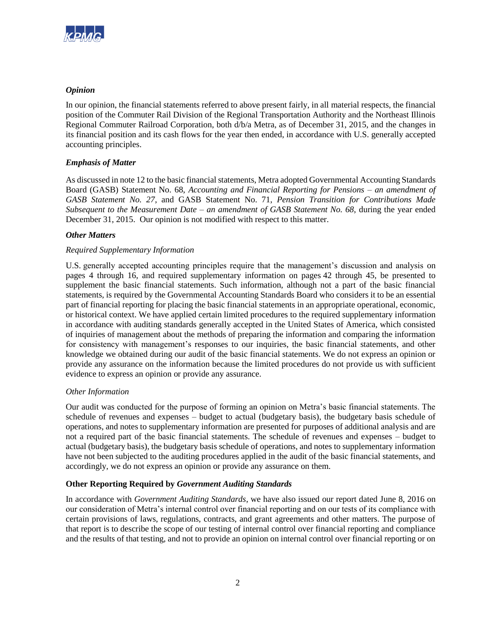

# *Opinion*

In our opinion, the financial statements referred to above present fairly, in all material respects, the financial position of the Commuter Rail Division of the Regional Transportation Authority and the Northeast Illinois Regional Commuter Railroad Corporation, both d/b/a Metra, as of December 31, 2015, and the changes in its financial position and its cash flows for the year then ended, in accordance with U.S. generally accepted accounting principles.

# *Emphasis of Matter*

As discussed in note 12 to the basic financial statements, Metra adopted Governmental Accounting Standards Board (GASB) Statement No. 68, *Accounting and Financial Reporting for Pensions – an amendment of GASB Statement No. 27*, and GASB Statement No. 71, *Pension Transition for Contributions Made Subsequent to the Measurement Date – an amendment of GASB Statement No. 68*, during the year ended December 31, 2015. Our opinion is not modified with respect to this matter.

# *Other Matters*

# *Required Supplementary Information*

U.S. generally accepted accounting principles require that the management's discussion and analysis on pages 4 through 16, and required supplementary information on pages 42 through 45, be presented to supplement the basic financial statements. Such information, although not a part of the basic financial statements, is required by the Governmental Accounting Standards Board who considers it to be an essential part of financial reporting for placing the basic financial statements in an appropriate operational, economic, or historical context. We have applied certain limited procedures to the required supplementary information in accordance with auditing standards generally accepted in the United States of America, which consisted of inquiries of management about the methods of preparing the information and comparing the information for consistency with management's responses to our inquiries, the basic financial statements, and other knowledge we obtained during our audit of the basic financial statements. We do not express an opinion or provide any assurance on the information because the limited procedures do not provide us with sufficient evidence to express an opinion or provide any assurance.

# *Other Information*

Our audit was conducted for the purpose of forming an opinion on Metra's basic financial statements. The schedule of revenues and expenses – budget to actual (budgetary basis), the budgetary basis schedule of operations, and notes to supplementary information are presented for purposes of additional analysis and are not a required part of the basic financial statements. The schedule of revenues and expenses – budget to actual (budgetary basis), the budgetary basis schedule of operations, and notes to supplementary information have not been subjected to the auditing procedures applied in the audit of the basic financial statements, and accordingly, we do not express an opinion or provide any assurance on them.

# **Other Reporting Required by** *Government Auditing Standards*

In accordance with *Government Auditing Standards*, we have also issued our report dated June 8, 2016 on our consideration of Metra's internal control over financial reporting and on our tests of its compliance with certain provisions of laws, regulations, contracts, and grant agreements and other matters. The purpose of that report is to describe the scope of our testing of internal control over financial reporting and compliance and the results of that testing, and not to provide an opinion on internal control over financial reporting or on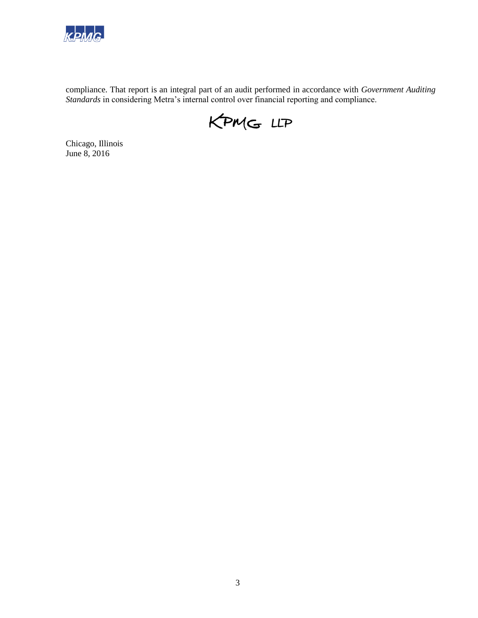

compliance. That report is an integral part of an audit performed in accordance with *Government Auditing Standards* in considering Metra's internal control over financial reporting and compliance.



Chicago, Illinois June 8, 2016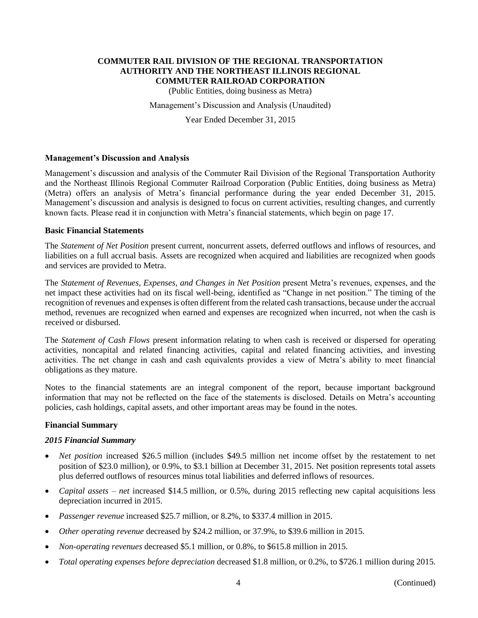(Public Entities, doing business as Metra)

Management's Discussion and Analysis (Unaudited)

Year Ended December 31, 2015

### **Management's Discussion and Analysis**

Management's discussion and analysis of the Commuter Rail Division of the Regional Transportation Authority and the Northeast Illinois Regional Commuter Railroad Corporation (Public Entities, doing business as Metra) (Metra) offers an analysis of Metra's financial performance during the year ended December 31, 2015. Management's discussion and analysis is designed to focus on current activities, resulting changes, and currently known facts. Please read it in conjunction with Metra's financial statements, which begin on page 17.

#### **Basic Financial Statements**

The *Statement of Net Position* present current, noncurrent assets, deferred outflows and inflows of resources, and liabilities on a full accrual basis. Assets are recognized when acquired and liabilities are recognized when goods and services are provided to Metra.

The *Statement of Revenues, Expenses, and Changes in Net Position* present Metra's revenues, expenses, and the net impact these activities had on its fiscal well-being, identified as "Change in net position." The timing of the recognition of revenues and expenses is often different from the related cash transactions, because under the accrual method, revenues are recognized when earned and expenses are recognized when incurred, not when the cash is received or disbursed.

The *Statement of Cash Flows* present information relating to when cash is received or dispersed for operating activities, noncapital and related financing activities, capital and related financing activities, and investing activities. The net change in cash and cash equivalents provides a view of Metra's ability to meet financial obligations as they mature.

Notes to the financial statements are an integral component of the report, because important background information that may not be reflected on the face of the statements is disclosed. Details on Metra's accounting policies, cash holdings, capital assets, and other important areas may be found in the notes.

#### **Financial Summary**

# *2015 Financial Summary*

- *Net position* increased \$26.5 million (includes \$49.5 million net income offset by the restatement to net position of \$23.0 million), or 0.9%, to \$3.1 billion at December 31, 2015. Net position represents total assets plus deferred outflows of resources minus total liabilities and deferred inflows of resources.
- *Capital assets – net* increased \$14.5 million, or 0.5%, during 2015 reflecting new capital acquisitions less depreciation incurred in 2015.
- *Passenger revenue* increased \$25.7 million, or 8.2%, to \$337.4 million in 2015.
- *Other operating revenue* decreased by \$24.2 million, or 37.9%, to \$39.6 million in 2015.
- *Non-operating revenues* decreased \$5.1 million, or 0.8%, to \$615.8 million in 2015.
- *Total operating expenses before depreciation* decreased \$1.8 million, or 0.2%, to \$726.1 million during 2015.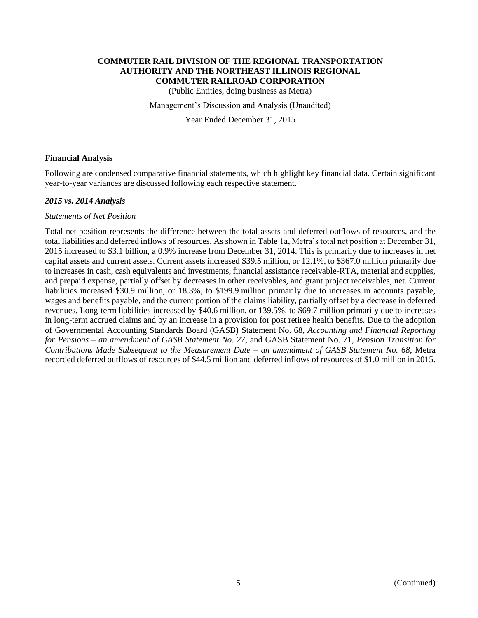(Public Entities, doing business as Metra)

Management's Discussion and Analysis (Unaudited)

Year Ended December 31, 2015

### **Financial Analysis**

Following are condensed comparative financial statements, which highlight key financial data. Certain significant year-to-year variances are discussed following each respective statement.

### *2015 vs. 2014 Analysis*

#### *Statements of Net Position*

Total net position represents the difference between the total assets and deferred outflows of resources, and the total liabilities and deferred inflows of resources. As shown in Table 1a, Metra's total net position at December 31, 2015 increased to \$3.1 billion, a 0.9% increase from December 31, 2014. This is primarily due to increases in net capital assets and current assets. Current assets increased \$39.5 million, or 12.1%, to \$367.0 million primarily due to increases in cash, cash equivalents and investments, financial assistance receivable-RTA, material and supplies, and prepaid expense, partially offset by decreases in other receivables, and grant project receivables, net. Current liabilities increased \$30.9 million, or 18.3%, to \$199.9 million primarily due to increases in accounts payable, wages and benefits payable, and the current portion of the claims liability, partially offset by a decrease in deferred revenues. Long-term liabilities increased by \$40.6 million, or 139.5%, to \$69.7 million primarily due to increases in long-term accrued claims and by an increase in a provision for post retiree health benefits. Due to the adoption of Governmental Accounting Standards Board (GASB) Statement No. 68, *Accounting and Financial Reporting for Pensions – an amendment of GASB Statement No. 27*, and GASB Statement No. 71, *Pension Transition for Contributions Made Subsequent to the Measurement Date – an amendment of GASB Statement No. 68*, Metra recorded deferred outflows of resources of \$44.5 million and deferred inflows of resources of \$1.0 million in 2015.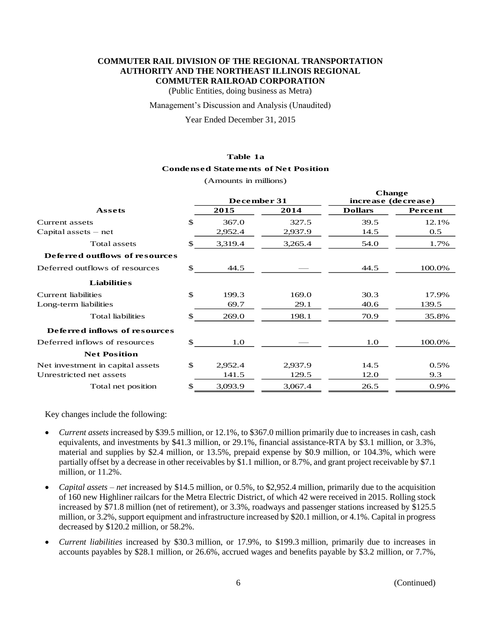(Public Entities, doing business as Metra)

#### Management's Discussion and Analysis (Unaudited)

Year Ended December 31, 2015

#### **Table 1a**

#### **Condensed Statements of Net Position**

(Amounts in millions)

|                                  |              | December 31 |         | <b>Change</b><br>increase (decrease) |         |
|----------------------------------|--------------|-------------|---------|--------------------------------------|---------|
| <b>Assets</b>                    |              | 2015        | 2014    | <b>Dollars</b>                       | Percent |
| Current assets                   | $\mathbb{S}$ | 367.0       | 327.5   | 39.5                                 | 12.1%   |
| Capital assets $-$ net           |              | 2,952.4     | 2,937.9 | 14.5                                 | 0.5     |
| Total assets                     | \$.          | 3,319.4     | 3,265.4 | 54.0                                 | 1.7%    |
| Deferred outflows of resources   |              |             |         |                                      |         |
| Deferred outflows of resources   | \$.          | 44.5        |         | 44.5                                 | 100.0%  |
| <b>Liabilities</b>               |              |             |         |                                      |         |
| Current liabilities              | $\mathbf S$  | 199.3       | 169.0   | 30.3                                 | 17.9%   |
| Long-term liabilities            |              | 69.7        | 29.1    | 40.6                                 | 139.5   |
| <b>Total liabilities</b>         | \$           | 269.0       | 198.1   | 70.9                                 | 35.8%   |
| Deferred inflows of resources    |              |             |         |                                      |         |
| Deferred inflows of resources    | \$           | 1.0         |         | 1.0                                  | 100.0%  |
| <b>Net Position</b>              |              |             |         |                                      |         |
| Net investment in capital assets | \$           | 2,952.4     | 2,937.9 | 14.5                                 | 0.5%    |
| Unrestricted net assets          |              | 141.5       | 129.5   | 12.0                                 | 9.3     |
| Total net position               | $\mathbb{S}$ | 3,093.9     | 3,067.4 | 26.5                                 | 0.9%    |

Key changes include the following:

- *Current assets* increased by \$39.5 million, or 12.1%, to \$367.0 million primarily due to increases in cash, cash equivalents, and investments by \$41.3 million, or 29.1%, financial assistance-RTA by \$3.1 million, or 3.3%, material and supplies by \$2.4 million, or 13.5%, prepaid expense by \$0.9 million, or 104.3%, which were partially offset by a decrease in other receivables by \$1.1 million, or 8.7%, and grant project receivable by \$7.1 million, or 11.2%.
- *Capital assets net* increased by \$14.5 million, or 0.5%, to \$2,952.4 million, primarily due to the acquisition of 160 new Highliner railcars for the Metra Electric District, of which 42 were received in 2015. Rolling stock increased by \$71.8 million (net of retirement), or 3.3%, roadways and passenger stations increased by \$125.5 million, or 3.2%, support equipment and infrastructure increased by \$20.1 million, or 4.1%. Capital in progress decreased by \$120.2 million, or 58.2%.
- *Current liabilities* increased by \$30.3 million, or 17.9%, to \$199.3 million, primarily due to increases in accounts payables by \$28.1 million, or 26.6%, accrued wages and benefits payable by \$3.2 million, or 7.7%,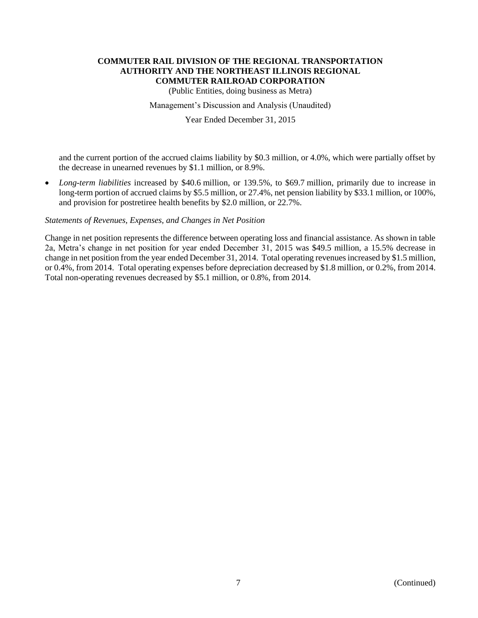(Public Entities, doing business as Metra)

#### Management's Discussion and Analysis (Unaudited)

### Year Ended December 31, 2015

and the current portion of the accrued claims liability by \$0.3 million, or 4.0%, which were partially offset by the decrease in unearned revenues by \$1.1 million, or 8.9%.

 *Long-term liabilities* increased by \$40.6 million, or 139.5%, to \$69.7 million, primarily due to increase in long-term portion of accrued claims by \$5.5 million, or 27.4%, net pension liability by \$33.1 million, or 100%, and provision for postretiree health benefits by \$2.0 million, or 22.7%.

### *Statements of Revenues, Expenses, and Changes in Net Position*

Change in net position represents the difference between operating loss and financial assistance. As shown in table 2a, Metra's change in net position for year ended December 31, 2015 was \$49.5 million, a 15.5% decrease in change in net position from the year ended December 31, 2014. Total operating revenues increased by \$1.5 million, or 0.4%, from 2014. Total operating expenses before depreciation decreased by \$1.8 million, or 0.2%, from 2014. Total non-operating revenues decreased by \$5.1 million, or 0.8%, from 2014.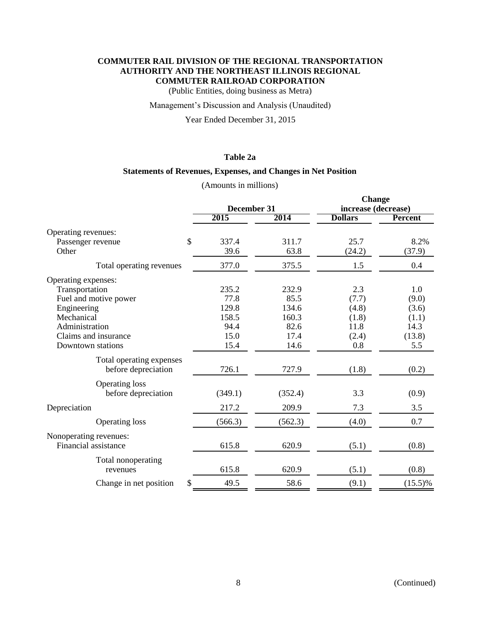(Public Entities, doing business as Metra)

### Management's Discussion and Analysis (Unaudited)

Year Ended December 31, 2015

# **Table 2a**

#### **Statements of Revenues, Expenses, and Changes in Net Position**

# (Amounts in millions)

|                              |             |         | <b>Change</b>       |                |
|------------------------------|-------------|---------|---------------------|----------------|
|                              | December 31 |         | increase (decrease) |                |
|                              | 2015        | 2014    | <b>Dollars</b>      | <b>Percent</b> |
| Operating revenues:          |             |         |                     |                |
| \$<br>Passenger revenue      | 337.4       | 311.7   | 25.7                | 8.2%           |
| Other                        | 39.6        | 63.8    | (24.2)              | (37.9)         |
| Total operating revenues     | 377.0       | 375.5   | 1.5                 | 0.4            |
| Operating expenses:          |             |         |                     |                |
| Transportation               | 235.2       | 232.9   | 2.3                 | 1.0            |
| Fuel and motive power        | 77.8        | 85.5    | (7.7)               | (9.0)          |
| Engineering                  | 129.8       | 134.6   | (4.8)               | (3.6)          |
| Mechanical                   | 158.5       | 160.3   | (1.8)               | (1.1)          |
| Administration               | 94.4        | 82.6    | 11.8                | 14.3           |
| Claims and insurance         | 15.0        | 17.4    | (2.4)               | (13.8)         |
| Downtown stations            | 15.4        | 14.6    | 0.8                 | 5.5            |
| Total operating expenses     |             |         |                     |                |
| before depreciation          | 726.1       | 727.9   | (1.8)               | (0.2)          |
| <b>Operating loss</b>        |             |         |                     |                |
| before depreciation          | (349.1)     | (352.4) | 3.3                 | (0.9)          |
| Depreciation                 | 217.2       | 209.9   | 7.3                 | 3.5            |
| <b>Operating loss</b>        | (566.3)     | (562.3) | (4.0)               | 0.7            |
| Nonoperating revenues:       |             |         |                     |                |
| Financial assistance         | 615.8       | 620.9   | (5.1)               | (0.8)          |
| Total nonoperating           |             |         |                     |                |
| revenues                     | 615.8       | 620.9   | (5.1)               | (0.8)          |
| \$<br>Change in net position | 49.5        | 58.6    | (9.1)               | $(15.5)\%$     |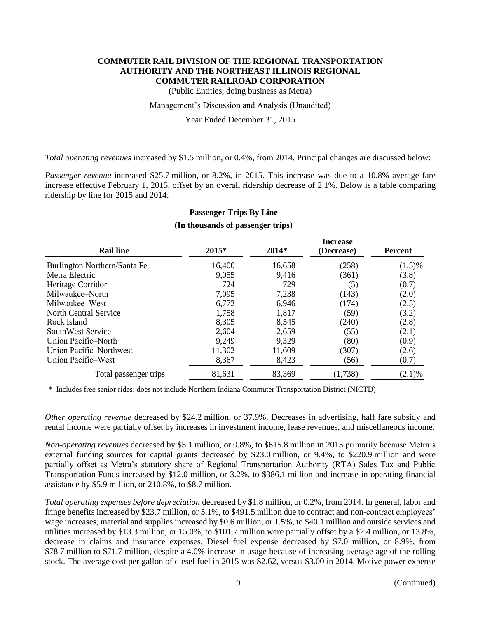(Public Entities, doing business as Metra)

#### Management's Discussion and Analysis (Unaudited)

Year Ended December 31, 2015

*Total operating revenues* increased by \$1.5 million, or 0.4%, from 2014. Principal changes are discussed below:

*Passenger revenue* increased \$25.7 million, or 8.2%, in 2015. This increase was due to a 10.8% average fare increase effective February 1, 2015, offset by an overall ridership decrease of 2.1%. Below is a table comparing ridership by line for 2015 and 2014:

| <b>Rail line</b>             | 2015*  | 2014*  | <b>Increase</b><br>(Decrease) | <b>Percent</b> |
|------------------------------|--------|--------|-------------------------------|----------------|
| Burlington Northern/Santa Fe | 16,400 | 16,658 | (258)                         | $(1.5)\%$      |
| Metra Electric               | 9,055  | 9,416  | (361)                         | (3.8)          |
| Heritage Corridor            | 724    | 729    | (5)                           | (0.7)          |
| Milwaukee-North              | 7,095  | 7,238  | (143)                         | (2.0)          |
| Milwaukee–West               | 6,772  | 6,946  | (174)                         | (2.5)          |
| North Central Service        | 1,758  | 1,817  | (59)                          | (3.2)          |
| Rock Island                  | 8,305  | 8,545  | (240)                         | (2.8)          |
| SouthWest Service            | 2,604  | 2,659  | (55)                          | (2.1)          |
| Union Pacific–North          | 9,249  | 9,329  | (80)                          | (0.9)          |
| Union Pacific–Northwest      | 11,302 | 11,609 | (307)                         | (2.6)          |
| Union Pacific–West           | 8,367  | 8,423  | (56)                          | (0.7)          |
| Total passenger trips        | 81,631 | 83,369 | (1,738)                       | $(2.1)\%$      |

# **Passenger Trips By Line (In thousands of passenger trips)**

\* Includes free senior rides; does not include Northern Indiana Commuter Transportation District (NICTD)

*Other operating revenue* decreased by \$24.2 million, or 37.9%. Decreases in advertising, half fare subsidy and rental income were partially offset by increases in investment income, lease revenues, and miscellaneous income.

*Non-operating revenues* decreased by \$5.1 million, or 0.8%, to \$615.8 million in 2015 primarily because Metra's external funding sources for capital grants decreased by \$23.0 million, or 9.4%, to \$220.9 million and were partially offset as Metra's statutory share of Regional Transportation Authority (RTA) Sales Tax and Public Transportation Funds increased by \$12.0 million, or 3.2%, to \$386.1 million and increase in operating financial assistance by \$5.9 million, or 210.8%, to \$8.7 million.

*Total operating expenses before depreciation* decreased by \$1.8 million, or 0.2%, from 2014. In general, labor and fringe benefits increased by \$23.7 million, or 5.1%, to \$491.5 million due to contract and non-contract employees' wage increases, material and supplies increased by \$0.6 million, or 1.5%, to \$40.1 million and outside services and utilities increased by \$13.3 million, or 15.0%, to \$101.7 million were partially offset by a \$2.4 million, or 13.8%, decrease in claims and insurance expenses. Diesel fuel expense decreased by \$7.0 million, or 8.9%, from \$78.7 million to \$71.7 million, despite a 4.0% increase in usage because of increasing average age of the rolling stock. The average cost per gallon of diesel fuel in 2015 was \$2.62, versus \$3.00 in 2014. Motive power expense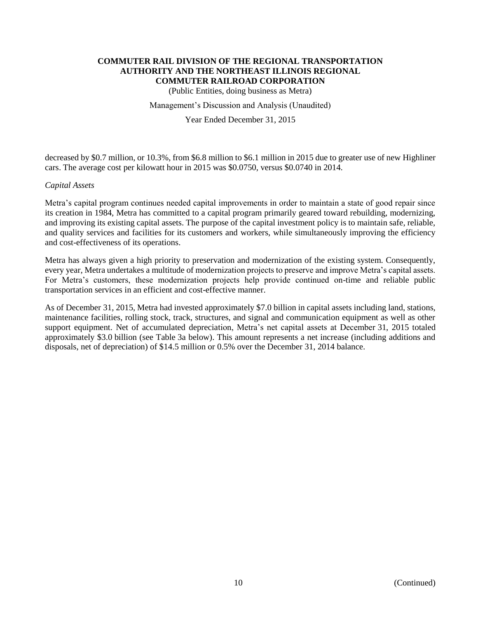(Public Entities, doing business as Metra)

#### Management's Discussion and Analysis (Unaudited)

### Year Ended December 31, 2015

decreased by \$0.7 million, or 10.3%, from \$6.8 million to \$6.1 million in 2015 due to greater use of new Highliner cars. The average cost per kilowatt hour in 2015 was \$0.0750, versus \$0.0740 in 2014.

#### *Capital Assets*

Metra's capital program continues needed capital improvements in order to maintain a state of good repair since its creation in 1984, Metra has committed to a capital program primarily geared toward rebuilding, modernizing, and improving its existing capital assets. The purpose of the capital investment policy is to maintain safe, reliable, and quality services and facilities for its customers and workers, while simultaneously improving the efficiency and cost-effectiveness of its operations.

Metra has always given a high priority to preservation and modernization of the existing system. Consequently, every year, Metra undertakes a multitude of modernization projects to preserve and improve Metra's capital assets. For Metra's customers, these modernization projects help provide continued on-time and reliable public transportation services in an efficient and cost-effective manner.

As of December 31, 2015, Metra had invested approximately \$7.0 billion in capital assets including land, stations, maintenance facilities, rolling stock, track, structures, and signal and communication equipment as well as other support equipment. Net of accumulated depreciation, Metra's net capital assets at December 31, 2015 totaled approximately \$3.0 billion (see Table 3a below). This amount represents a net increase (including additions and disposals, net of depreciation) of \$14.5 million or 0.5% over the December 31, 2014 balance.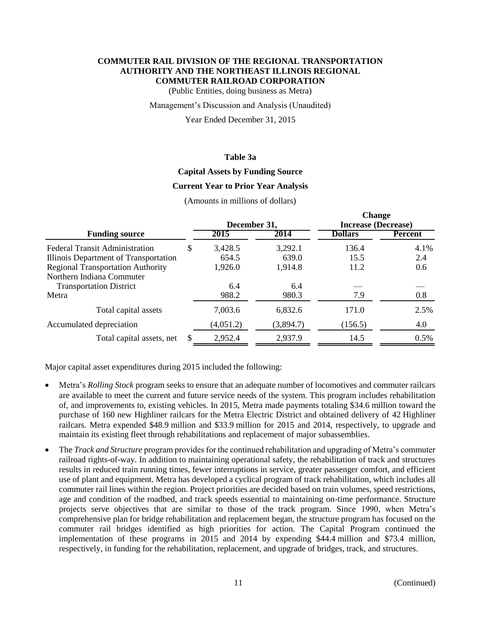(Public Entities, doing business as Metra)

#### Management's Discussion and Analysis (Unaudited)

Year Ended December 31, 2015

### **Table 3a**

# **Capital Assets by Funding Source**

#### **Current Year to Prior Year Analysis**

(Amounts in millions of dollars)

|                                          |   |              |           | <b>Unange</b>              |         |
|------------------------------------------|---|--------------|-----------|----------------------------|---------|
|                                          |   | December 31, |           | <b>Increase (Decrease)</b> |         |
| <b>Funding source</b>                    |   | 2015         | 2014      | <b>Dollars</b>             | Percent |
| <b>Federal Transit Administration</b>    | S | 3,428.5      | 3,292.1   | 136.4                      | 4.1%    |
| Illinois Department of Transportation    |   | 654.5        | 639.0     | 15.5                       | 2.4     |
| <b>Regional Transportation Authority</b> |   | 1,926.0      | 1,914.8   | 11.2                       | 0.6     |
| Northern Indiana Commuter                |   |              |           |                            |         |
| <b>Transportation District</b>           |   | 6.4          | 6.4       |                            |         |
| Metra                                    |   | 988.2        | 980.3     | 7.9                        | 0.8     |
| Total capital assets                     |   | 7,003.6      | 6,832.6   | 171.0                      | 2.5%    |
| Accumulated depreciation                 |   | (4,051.2)    | (3,894.7) | (156.5)                    | 4.0     |
| Total capital assets, net                | S | 2,952.4      | 2,937.9   | 14.5                       | 0.5%    |

Major capital asset expenditures during 2015 included the following:

- Metra's *Rolling Stock* program seeks to ensure that an adequate number of locomotives and commuter railcars are available to meet the current and future service needs of the system. This program includes rehabilitation of, and improvements to, existing vehicles. In 2015, Metra made payments totaling \$34.6 million toward the purchase of 160 new Highliner railcars for the Metra Electric District and obtained delivery of 42 Highliner railcars. Metra expended \$48.9 million and \$33.9 million for 2015 and 2014, respectively, to upgrade and maintain its existing fleet through rehabilitations and replacement of major subassemblies.
- The *Track and Structure* program provides for the continued rehabilitation and upgrading of Metra's commuter railroad rights-of-way. In addition to maintaining operational safety, the rehabilitation of track and structures results in reduced train running times, fewer interruptions in service, greater passenger comfort, and efficient use of plant and equipment. Metra has developed a cyclical program of track rehabilitation, which includes all commuter rail lines within the region. Project priorities are decided based on train volumes, speed restrictions, age and condition of the roadbed, and track speeds essential to maintaining on-time performance. Structure projects serve objectives that are similar to those of the track program. Since 1990, when Metra's comprehensive plan for bridge rehabilitation and replacement began, the structure program has focused on the commuter rail bridges identified as high priorities for action. The Capital Program continued the implementation of these programs in 2015 and 2014 by expending \$44.4 million and \$73.4 million, respectively, in funding for the rehabilitation, replacement, and upgrade of bridges, track, and structures.

**Change**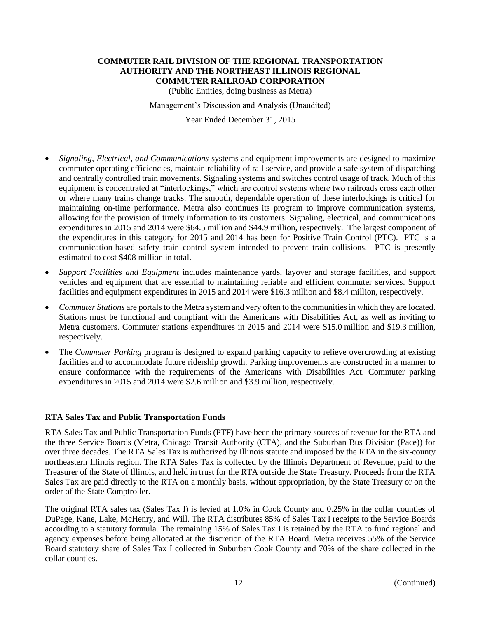(Public Entities, doing business as Metra)

Management's Discussion and Analysis (Unaudited)

Year Ended December 31, 2015

- *Signaling, Electrical, and Communications* systems and equipment improvements are designed to maximize commuter operating efficiencies, maintain reliability of rail service, and provide a safe system of dispatching and centrally controlled train movements. Signaling systems and switches control usage of track. Much of this equipment is concentrated at "interlockings," which are control systems where two railroads cross each other or where many trains change tracks. The smooth, dependable operation of these interlockings is critical for maintaining on-time performance. Metra also continues its program to improve communication systems, allowing for the provision of timely information to its customers. Signaling, electrical, and communications expenditures in 2015 and 2014 were \$64.5 million and \$44.9 million, respectively. The largest component of the expenditures in this category for 2015 and 2014 has been for Positive Train Control (PTC). PTC is a communication-based safety train control system intended to prevent train collisions. PTC is presently estimated to cost \$408 million in total.
- *Support Facilities and Equipment* includes maintenance yards, layover and storage facilities, and support vehicles and equipment that are essential to maintaining reliable and efficient commuter services. Support facilities and equipment expenditures in 2015 and 2014 were \$16.3 million and \$8.4 million, respectively.
- *Commuter Stations* are portals to the Metra system and very often to the communities in which they are located. Stations must be functional and compliant with the Americans with Disabilities Act, as well as inviting to Metra customers. Commuter stations expenditures in 2015 and 2014 were \$15.0 million and \$19.3 million, respectively.
- The *Commuter Parking* program is designed to expand parking capacity to relieve overcrowding at existing facilities and to accommodate future ridership growth. Parking improvements are constructed in a manner to ensure conformance with the requirements of the Americans with Disabilities Act. Commuter parking expenditures in 2015 and 2014 were \$2.6 million and \$3.9 million, respectively.

#### **RTA Sales Tax and Public Transportation Funds**

RTA Sales Tax and Public Transportation Funds (PTF) have been the primary sources of revenue for the RTA and the three Service Boards (Metra, Chicago Transit Authority (CTA), and the Suburban Bus Division (Pace)) for over three decades. The RTA Sales Tax is authorized by Illinois statute and imposed by the RTA in the six-county northeastern Illinois region. The RTA Sales Tax is collected by the Illinois Department of Revenue, paid to the Treasurer of the State of Illinois, and held in trust for the RTA outside the State Treasury. Proceeds from the RTA Sales Tax are paid directly to the RTA on a monthly basis, without appropriation, by the State Treasury or on the order of the State Comptroller.

The original RTA sales tax (Sales Tax I) is levied at 1.0% in Cook County and 0.25% in the collar counties of DuPage, Kane, Lake, McHenry, and Will. The RTA distributes 85% of Sales Tax I receipts to the Service Boards according to a statutory formula. The remaining 15% of Sales Tax I is retained by the RTA to fund regional and agency expenses before being allocated at the discretion of the RTA Board. Metra receives 55% of the Service Board statutory share of Sales Tax I collected in Suburban Cook County and 70% of the share collected in the collar counties.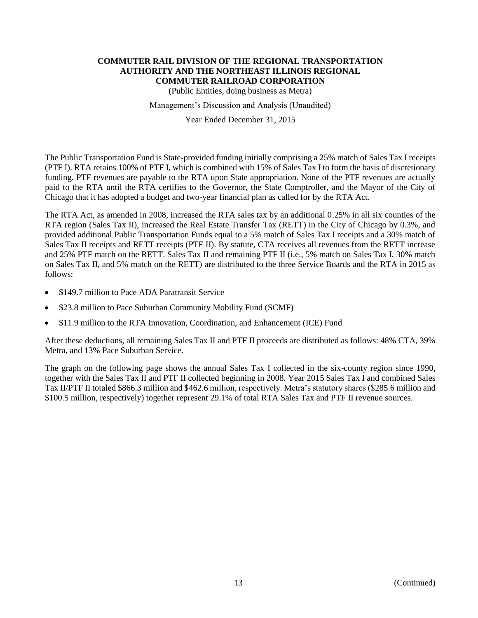(Public Entities, doing business as Metra)

Management's Discussion and Analysis (Unaudited)

Year Ended December 31, 2015

The Public Transportation Fund is State-provided funding initially comprising a 25% match of Sales Tax I receipts (PTF I). RTA retains 100% of PTF I, which is combined with 15% of Sales Tax I to form the basis of discretionary funding. PTF revenues are payable to the RTA upon State appropriation. None of the PTF revenues are actually paid to the RTA until the RTA certifies to the Governor, the State Comptroller, and the Mayor of the City of Chicago that it has adopted a budget and two-year financial plan as called for by the RTA Act.

The RTA Act, as amended in 2008, increased the RTA sales tax by an additional 0.25% in all six counties of the RTA region (Sales Tax II), increased the Real Estate Transfer Tax (RETT) in the City of Chicago by 0.3%, and provided additional Public Transportation Funds equal to a 5% match of Sales Tax I receipts and a 30% match of Sales Tax II receipts and RETT receipts (PTF II). By statute, CTA receives all revenues from the RETT increase and 25% PTF match on the RETT. Sales Tax II and remaining PTF II (i.e., 5% match on Sales Tax I, 30% match on Sales Tax II, and 5% match on the RETT) are distributed to the three Service Boards and the RTA in 2015 as follows:

- \$149.7 million to Pace ADA Paratransit Service
- \$23.8 million to Pace Suburban Community Mobility Fund (SCMF)
- \$11.9 million to the RTA Innovation, Coordination, and Enhancement (ICE) Fund

After these deductions, all remaining Sales Tax II and PTF II proceeds are distributed as follows: 48% CTA, 39% Metra, and 13% Pace Suburban Service.

The graph on the following page shows the annual Sales Tax I collected in the six-county region since 1990, together with the Sales Tax II and PTF II collected beginning in 2008. Year 2015 Sales Tax I and combined Sales Tax II/PTF II totaled \$866.3 million and \$462.6 million, respectively. Metra's statutory shares (\$285.6 million and \$100.5 million, respectively) together represent 29.1% of total RTA Sales Tax and PTF II revenue sources.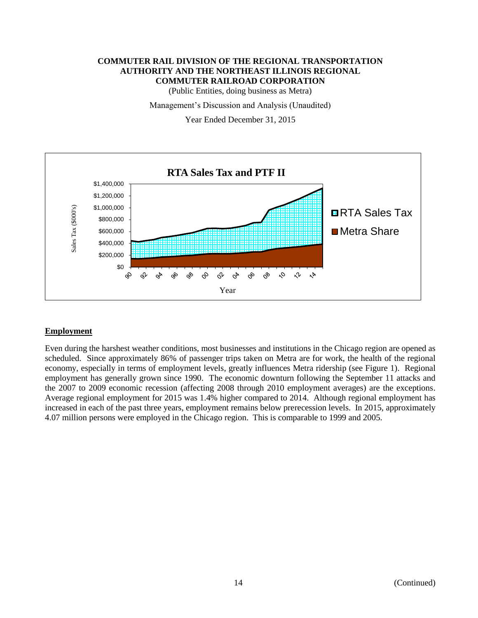(Public Entities, doing business as Metra)

Management's Discussion and Analysis (Unaudited)

Year Ended December 31, 2015



# **Employment**

Even during the harshest weather conditions, most businesses and institutions in the Chicago region are opened as scheduled. Since approximately 86% of passenger trips taken on Metra are for work, the health of the regional economy, especially in terms of employment levels, greatly influences Metra ridership (see Figure 1). Regional employment has generally grown since 1990. The economic downturn following the September 11 attacks and the 2007 to 2009 economic recession (affecting 2008 through 2010 employment averages) are the exceptions. Average regional employment for 2015 was 1.4% higher compared to 2014. Although regional employment has increased in each of the past three years, employment remains below prerecession levels. In 2015, approximately 4.07 million persons were employed in the Chicago region. This is comparable to 1999 and 2005.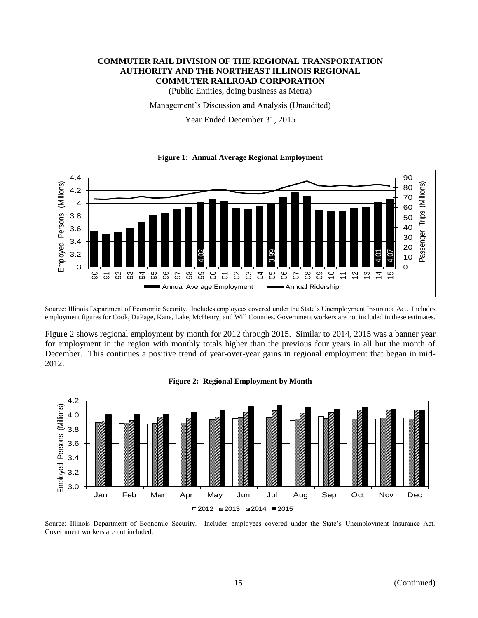(Public Entities, doing business as Metra)

Management's Discussion and Analysis (Unaudited)

Year Ended December 31, 2015

#### **Figure 1: Annual Average Regional Employment**



Source: Illinois Department of Economic Security. Includes employees covered under the State's Unemployment Insurance Act. Includes employment figures for Cook, DuPage, Kane, Lake, McHenry, and Will Counties. Government workers are not included in these estimates.

Figure 2 shows regional employment by month for 2012 through 2015. Similar to 2014, 2015 was a banner year for employment in the region with monthly totals higher than the previous four years in all but the month of December. This continues a positive trend of year-over-year gains in regional employment that began in mid-2012.



#### **Figure 2: Regional Employment by Month**

Source: Illinois Department of Economic Security. Includes employees covered under the State's Unemployment Insurance Act. Government workers are not included.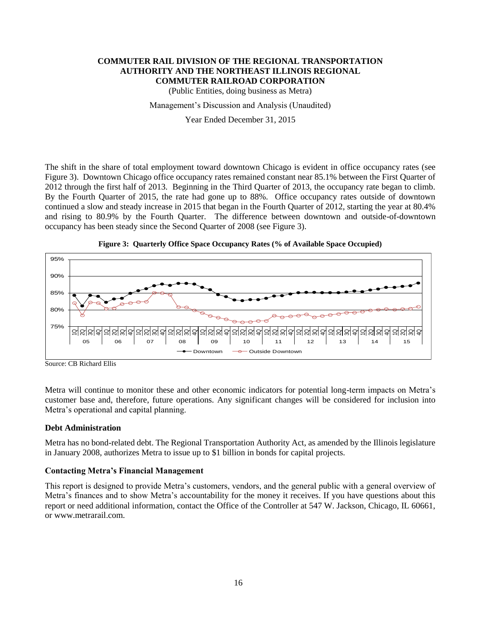(Public Entities, doing business as Metra)

#### Management's Discussion and Analysis (Unaudited)

Year Ended December 31, 2015

The shift in the share of total employment toward downtown Chicago is evident in office occupancy rates (see Figure 3). Downtown Chicago office occupancy rates remained constant near 85.1% between the First Quarter of 2012 through the first half of 2013. Beginning in the Third Quarter of 2013, the occupancy rate began to climb. By the Fourth Quarter of 2015, the rate had gone up to 88%. Office occupancy rates outside of downtown continued a slow and steady increase in 2015 that began in the Fourth Quarter of 2012, starting the year at 80.4% and rising to 80.9% by the Fourth Quarter. The difference between downtown and outside-of-downtown occupancy has been steady since the Second Quarter of 2008 (see Figure 3).



**Figure 3: Quarterly Office Space Occupancy Rates (% of Available Space Occupied)**

Metra will continue to monitor these and other economic indicators for potential long-term impacts on Metra's customer base and, therefore, future operations. Any significant changes will be considered for inclusion into Metra's operational and capital planning.

#### **Debt Administration**

Metra has no bond-related debt. The Regional Transportation Authority Act, as amended by the Illinois legislature in January 2008, authorizes Metra to issue up to \$1 billion in bonds for capital projects.

# **Contacting Metra's Financial Management**

This report is designed to provide Metra's customers, vendors, and the general public with a general overview of Metra's finances and to show Metra's accountability for the money it receives. If you have questions about this report or need additional information, contact the Office of the Controller at 547 W. Jackson, Chicago, IL 60661, or www.metrarail.com.

Source: CB Richard Ellis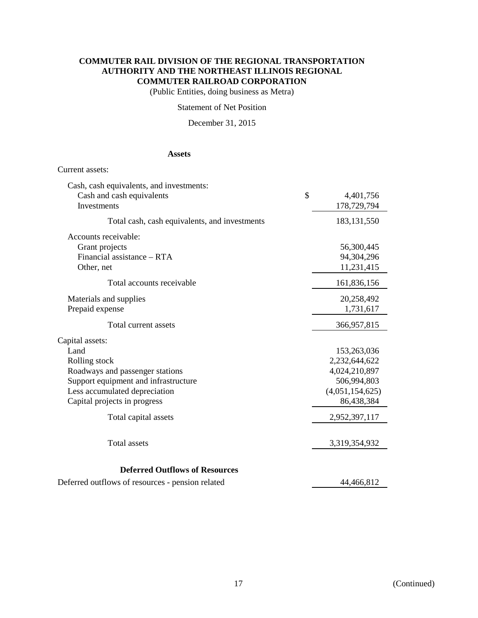(Public Entities, doing business as Metra)

### Statement of Net Position

December 31, 2015

# **Assets**

#### Current assets:

| <b>Deferred Outflows of Resources</b>         |               |                 |
|-----------------------------------------------|---------------|-----------------|
| <b>Total</b> assets                           |               | 3,319,354,932   |
| Total capital assets                          |               | 2,952,397,117   |
| Capital projects in progress                  |               | 86,438,384      |
| Less accumulated depreciation                 |               | (4,051,154,625) |
| Support equipment and infrastructure          |               | 506,994,803     |
| Roadways and passenger stations               |               | 4,024,210,897   |
| Rolling stock                                 |               | 2,232,644,622   |
| Land                                          |               | 153,263,036     |
| Capital assets:                               |               |                 |
| Total current assets                          |               | 366,957,815     |
| Prepaid expense                               |               | 1,731,617       |
| Materials and supplies                        |               | 20,258,492      |
| Total accounts receivable                     |               | 161,836,156     |
| Other, net                                    |               | 11,231,415      |
| Financial assistance - RTA                    |               | 94,304,296      |
| Accounts receivable:<br>Grant projects        |               | 56,300,445      |
| Total cash, cash equivalents, and investments |               | 183, 131, 550   |
| Investments                                   |               | 178,729,794     |
| Cash and cash equivalents                     | $\mathcal{S}$ | 4,401,756       |
| Cash, cash equivalents, and investments:      |               |                 |

Deferred outflows of resources - pension related 44,466,812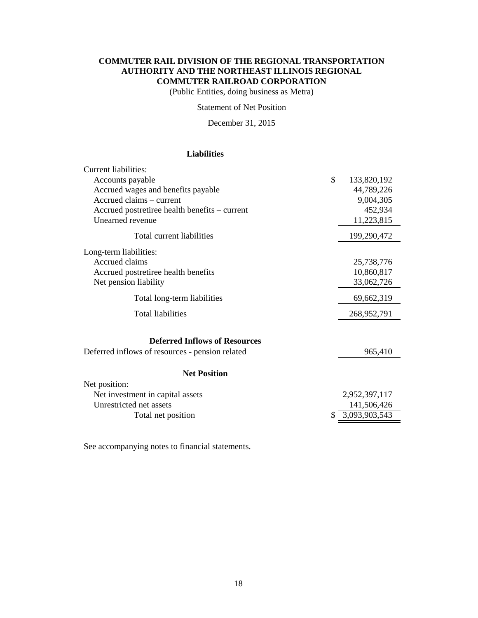(Public Entities, doing business as Metra)

Statement of Net Position

December 31, 2015

# **Liabilities**

| Current liabilities:                            |                   |
|-------------------------------------------------|-------------------|
| Accounts payable                                | \$<br>133,820,192 |
| Accrued wages and benefits payable              | 44,789,226        |
| Accrued claims – current                        | 9,004,305         |
| Accrued postretiree health benefits – current   | 452,934           |
| Unearned revenue                                | 11,223,815        |
| Total current liabilities                       | 199,290,472       |
| Long-term liabilities:                          |                   |
| Accrued claims                                  | 25,738,776        |
| Accrued postretiree health benefits             | 10,860,817        |
| Net pension liability                           | 33,062,726        |
| Total long-term liabilities                     | 69,662,319        |
| <b>Total liabilities</b>                        | 268,952,791       |
| <b>Deferred Inflows of Resources</b>            |                   |
| Deferred inflows of resources - pension related | 965,410           |
| <b>Net Position</b>                             |                   |
| Net position:                                   |                   |
| Net investment in capital assets                | 2,952,397,117     |
| Unrestricted net assets                         | 141,506,426       |
| Total net position                              | 3,093,903,543     |

See accompanying notes to financial statements.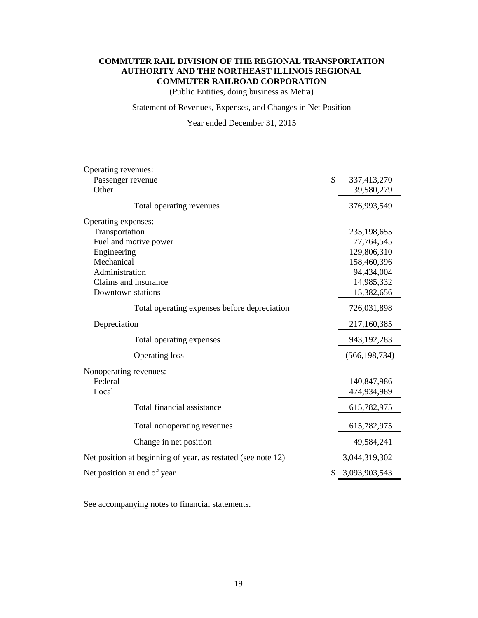(Public Entities, doing business as Metra)

Statement of Revenues, Expenses, and Changes in Net Position

Year ended December 31, 2015

| Operating revenues:                                          |               |                 |
|--------------------------------------------------------------|---------------|-----------------|
| Passenger revenue                                            | $\mathcal{S}$ | 337,413,270     |
| Other                                                        |               | 39,580,279      |
| Total operating revenues                                     |               | 376,993,549     |
| Operating expenses:                                          |               |                 |
| Transportation                                               |               | 235,198,655     |
| Fuel and motive power                                        |               | 77,764,545      |
| Engineering                                                  |               | 129,806,310     |
| Mechanical                                                   |               | 158,460,396     |
| Administration                                               |               | 94,434,004      |
| Claims and insurance                                         |               | 14,985,332      |
| Downtown stations                                            |               | 15,382,656      |
| Total operating expenses before depreciation                 |               | 726,031,898     |
| Depreciation                                                 |               | 217,160,385     |
| Total operating expenses                                     |               | 943,192,283     |
| <b>Operating loss</b>                                        |               | (566, 198, 734) |
| Nonoperating revenues:                                       |               |                 |
| Federal                                                      |               | 140,847,986     |
| Local                                                        |               | 474,934,989     |
| Total financial assistance                                   |               | 615,782,975     |
| Total nonoperating revenues                                  |               | 615,782,975     |
| Change in net position                                       |               | 49,584,241      |
| Net position at beginning of year, as restated (see note 12) |               | 3,044,319,302   |
| Net position at end of year                                  | \$            | 3,093,903,543   |

See accompanying notes to financial statements.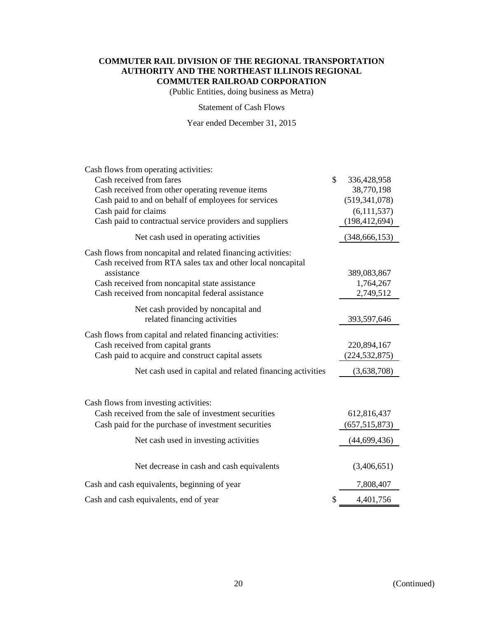(Public Entities, doing business as Metra)

#### Statement of Cash Flows

Year ended December 31, 2015

| Cash flows from operating activities:                                                                                       |                   |
|-----------------------------------------------------------------------------------------------------------------------------|-------------------|
| Cash received from fares                                                                                                    | \$<br>336,428,958 |
| Cash received from other operating revenue items                                                                            | 38,770,198        |
| Cash paid to and on behalf of employees for services                                                                        | (519, 341, 078)   |
| Cash paid for claims                                                                                                        | (6, 111, 537)     |
| Cash paid to contractual service providers and suppliers                                                                    | (198, 412, 694)   |
| Net cash used in operating activities                                                                                       | (348, 666, 153)   |
| Cash flows from noncapital and related financing activities:<br>Cash received from RTA sales tax and other local noncapital |                   |
| assistance                                                                                                                  | 389,083,867       |
| Cash received from noncapital state assistance                                                                              | 1,764,267         |
| Cash received from noncapital federal assistance                                                                            | 2,749,512         |
| Net cash provided by noncapital and                                                                                         |                   |
| related financing activities                                                                                                | 393,597,646       |
| Cash flows from capital and related financing activities:                                                                   |                   |
| Cash received from capital grants                                                                                           | 220,894,167       |
| Cash paid to acquire and construct capital assets                                                                           | (224, 532, 875)   |
| Net cash used in capital and related financing activities                                                                   | (3,638,708)       |
|                                                                                                                             |                   |
| Cash flows from investing activities:                                                                                       |                   |
| Cash received from the sale of investment securities                                                                        | 612,816,437       |
| Cash paid for the purchase of investment securities                                                                         | (657, 515, 873)   |
| Net cash used in investing activities                                                                                       | (44, 699, 436)    |
|                                                                                                                             |                   |
| Net decrease in cash and cash equivalents                                                                                   | (3,406,651)       |
| Cash and cash equivalents, beginning of year                                                                                | 7,808,407         |
| Cash and cash equivalents, end of year                                                                                      | \$<br>4,401,756   |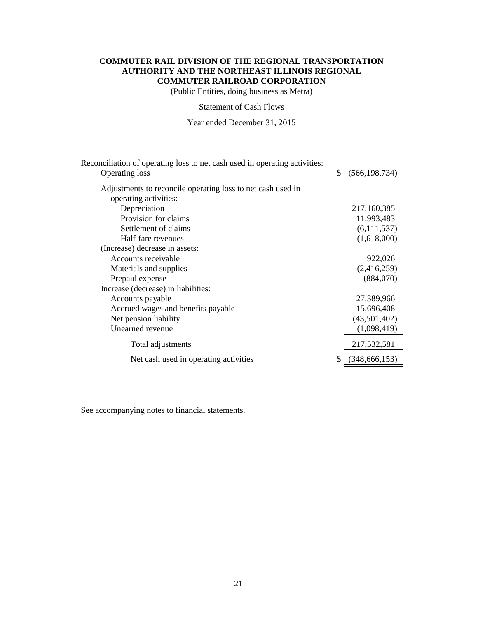(Public Entities, doing business as Metra)

Statement of Cash Flows

Year ended December 31, 2015

| Reconciliation of operating loss to net cash used in operating activities:<br><b>Operating loss</b> | \$<br>(566, 198, 734) |
|-----------------------------------------------------------------------------------------------------|-----------------------|
|                                                                                                     |                       |
| Adjustments to reconcile operating loss to net cash used in                                         |                       |
| operating activities:                                                                               |                       |
| Depreciation                                                                                        | 217,160,385           |
| Provision for claims                                                                                | 11,993,483            |
| Settlement of claims                                                                                | (6,111,537)           |
| Half-fare revenues                                                                                  | (1,618,000)           |
| (Increase) decrease in assets:                                                                      |                       |
| Accounts receivable                                                                                 | 922,026               |
| Materials and supplies                                                                              | (2,416,259)           |
| Prepaid expense                                                                                     | (884,070)             |
| Increase (decrease) in liabilities:                                                                 |                       |
| Accounts payable                                                                                    | 27,389,966            |
| Accrued wages and benefits payable                                                                  | 15,696,408            |
| Net pension liability                                                                               | (43,501,402)          |
| Unearned revenue                                                                                    | (1,098,419)           |
| Total adjustments                                                                                   | 217,532,581           |
| Net cash used in operating activities                                                               | (348, 666, 153)       |

See accompanying notes to financial statements.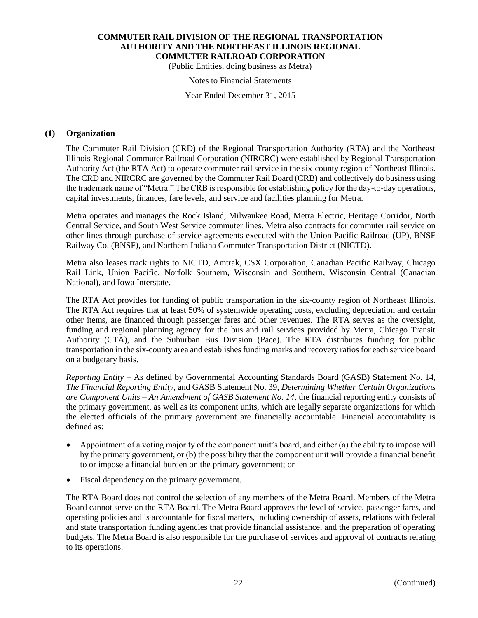(Public Entities, doing business as Metra)

#### Notes to Financial Statements

Year Ended December 31, 2015

#### **(1) Organization**

The Commuter Rail Division (CRD) of the Regional Transportation Authority (RTA) and the Northeast Illinois Regional Commuter Railroad Corporation (NIRCRC) were established by Regional Transportation Authority Act (the RTA Act) to operate commuter rail service in the six-county region of Northeast Illinois. The CRD and NIRCRC are governed by the Commuter Rail Board (CRB) and collectively do business using the trademark name of "Metra." The CRB is responsible for establishing policy for the day-to-day operations, capital investments, finances, fare levels, and service and facilities planning for Metra.

Metra operates and manages the Rock Island, Milwaukee Road, Metra Electric, Heritage Corridor, North Central Service, and South West Service commuter lines. Metra also contracts for commuter rail service on other lines through purchase of service agreements executed with the Union Pacific Railroad (UP), BNSF Railway Co. (BNSF), and Northern Indiana Commuter Transportation District (NICTD).

Metra also leases track rights to NICTD, Amtrak, CSX Corporation, Canadian Pacific Railway, Chicago Rail Link, Union Pacific, Norfolk Southern, Wisconsin and Southern, Wisconsin Central (Canadian National), and Iowa Interstate.

The RTA Act provides for funding of public transportation in the six-county region of Northeast Illinois. The RTA Act requires that at least 50% of systemwide operating costs, excluding depreciation and certain other items, are financed through passenger fares and other revenues. The RTA serves as the oversight, funding and regional planning agency for the bus and rail services provided by Metra, Chicago Transit Authority (CTA), and the Suburban Bus Division (Pace). The RTA distributes funding for public transportation in the six-county area and establishes funding marks and recovery ratios for each service board on a budgetary basis.

*Reporting Entity* – As defined by Governmental Accounting Standards Board (GASB) Statement No. 14, *The Financial Reporting Entity,* and GASB Statement No. 39, *Determining Whether Certain Organizations are Component Units – An Amendment of GASB Statement No. 14*, the financial reporting entity consists of the primary government, as well as its component units, which are legally separate organizations for which the elected officials of the primary government are financially accountable. Financial accountability is defined as:

- Appointment of a voting majority of the component unit's board, and either (a) the ability to impose will by the primary government, or (b) the possibility that the component unit will provide a financial benefit to or impose a financial burden on the primary government; or
- Fiscal dependency on the primary government.

The RTA Board does not control the selection of any members of the Metra Board. Members of the Metra Board cannot serve on the RTA Board. The Metra Board approves the level of service, passenger fares, and operating policies and is accountable for fiscal matters, including ownership of assets, relations with federal and state transportation funding agencies that provide financial assistance, and the preparation of operating budgets. The Metra Board is also responsible for the purchase of services and approval of contracts relating to its operations.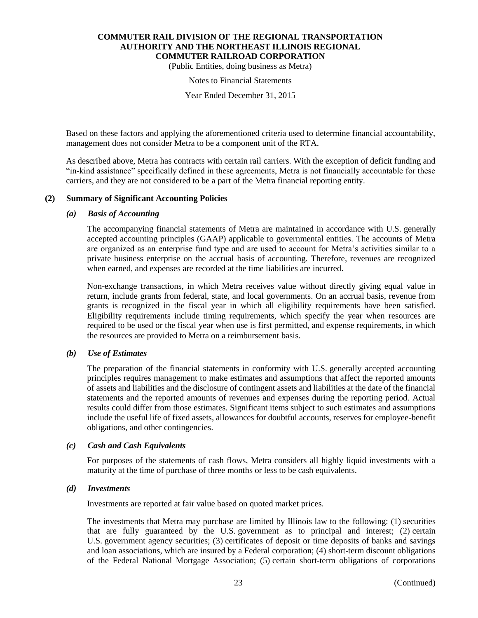(Public Entities, doing business as Metra)

#### Notes to Financial Statements

Year Ended December 31, 2015

Based on these factors and applying the aforementioned criteria used to determine financial accountability, management does not consider Metra to be a component unit of the RTA.

As described above, Metra has contracts with certain rail carriers. With the exception of deficit funding and "in-kind assistance" specifically defined in these agreements, Metra is not financially accountable for these carriers, and they are not considered to be a part of the Metra financial reporting entity.

#### **(2) Summary of Significant Accounting Policies**

#### *(a) Basis of Accounting*

The accompanying financial statements of Metra are maintained in accordance with U.S. generally accepted accounting principles (GAAP) applicable to governmental entities. The accounts of Metra are organized as an enterprise fund type and are used to account for Metra's activities similar to a private business enterprise on the accrual basis of accounting. Therefore, revenues are recognized when earned, and expenses are recorded at the time liabilities are incurred.

Non-exchange transactions, in which Metra receives value without directly giving equal value in return, include grants from federal, state, and local governments. On an accrual basis, revenue from grants is recognized in the fiscal year in which all eligibility requirements have been satisfied. Eligibility requirements include timing requirements, which specify the year when resources are required to be used or the fiscal year when use is first permitted, and expense requirements, in which the resources are provided to Metra on a reimbursement basis.

# *(b) Use of Estimates*

The preparation of the financial statements in conformity with U.S. generally accepted accounting principles requires management to make estimates and assumptions that affect the reported amounts of assets and liabilities and the disclosure of contingent assets and liabilities at the date of the financial statements and the reported amounts of revenues and expenses during the reporting period. Actual results could differ from those estimates. Significant items subject to such estimates and assumptions include the useful life of fixed assets, allowances for doubtful accounts, reserves for employee-benefit obligations, and other contingencies.

#### *(c) Cash and Cash Equivalents*

For purposes of the statements of cash flows, Metra considers all highly liquid investments with a maturity at the time of purchase of three months or less to be cash equivalents.

#### *(d) Investments*

Investments are reported at fair value based on quoted market prices.

The investments that Metra may purchase are limited by Illinois law to the following: (1) securities that are fully guaranteed by the U.S. government as to principal and interest; (2) certain U.S. government agency securities; (3) certificates of deposit or time deposits of banks and savings and loan associations, which are insured by a Federal corporation; (4) short-term discount obligations of the Federal National Mortgage Association; (5) certain short-term obligations of corporations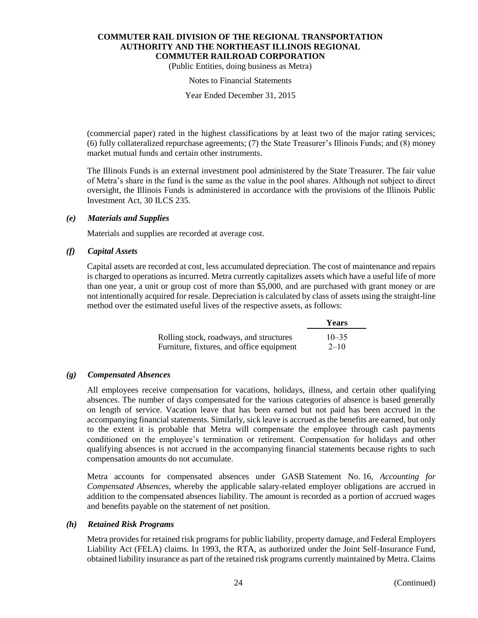(Public Entities, doing business as Metra)

#### Notes to Financial Statements

Year Ended December 31, 2015

(commercial paper) rated in the highest classifications by at least two of the major rating services; (6) fully collateralized repurchase agreements; (7) the State Treasurer's Illinois Funds; and (8) money market mutual funds and certain other instruments.

The Illinois Funds is an external investment pool administered by the State Treasurer. The fair value of Metra's share in the fund is the same as the value in the pool shares. Although not subject to direct oversight, the Illinois Funds is administered in accordance with the provisions of the Illinois Public Investment Act, 30 ILCS 235.

### *(e) Materials and Supplies*

Materials and supplies are recorded at average cost.

# *(f) Capital Assets*

Capital assets are recorded at cost, less accumulated depreciation. The cost of maintenance and repairs is charged to operations as incurred. Metra currently capitalizes assets which have a useful life of more than one year, a unit or group cost of more than \$5,000, and are purchased with grant money or are not intentionally acquired for resale. Depreciation is calculated by class of assets using the straight-line method over the estimated useful lives of the respective assets, as follows:

|                                           | <b>Years</b> |
|-------------------------------------------|--------------|
| Rolling stock, roadways, and structures   | $10 - 35$    |
| Furniture, fixtures, and office equipment | $2 - 10$     |

# *(g) Compensated Absences*

All employees receive compensation for vacations, holidays, illness, and certain other qualifying absences. The number of days compensated for the various categories of absence is based generally on length of service. Vacation leave that has been earned but not paid has been accrued in the accompanying financial statements. Similarly, sick leave is accrued as the benefits are earned, but only to the extent it is probable that Metra will compensate the employee through cash payments conditioned on the employee's termination or retirement. Compensation for holidays and other qualifying absences is not accrued in the accompanying financial statements because rights to such compensation amounts do not accumulate.

Metra accounts for compensated absences under GASB Statement No. 16, *Accounting for Compensated Absences,* whereby the applicable salary-related employer obligations are accrued in addition to the compensated absences liability. The amount is recorded as a portion of accrued wages and benefits payable on the statement of net position.

# *(h) Retained Risk Programs*

Metra provides for retained risk programs for public liability, property damage, and Federal Employers Liability Act (FELA) claims. In 1993, the RTA, as authorized under the Joint Self-Insurance Fund, obtained liability insurance as part of the retained risk programs currently maintained by Metra. Claims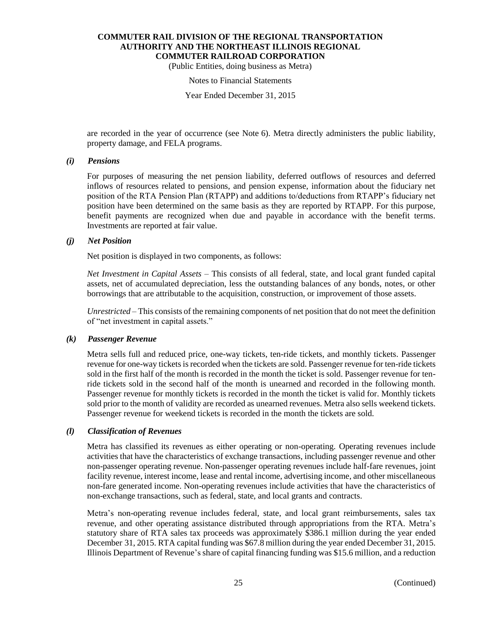(Public Entities, doing business as Metra)

#### Notes to Financial Statements

Year Ended December 31, 2015

are recorded in the year of occurrence (see Note 6). Metra directly administers the public liability, property damage, and FELA programs.

#### *(i) Pensions*

For purposes of measuring the net pension liability, deferred outflows of resources and deferred inflows of resources related to pensions, and pension expense, information about the fiduciary net position of the RTA Pension Plan (RTAPP) and additions to/deductions from RTAPP's fiduciary net position have been determined on the same basis as they are reported by RTAPP. For this purpose, benefit payments are recognized when due and payable in accordance with the benefit terms. Investments are reported at fair value.

### *(j) Net Position*

Net position is displayed in two components, as follows:

*Net Investment in Capital Assets* – This consists of all federal, state, and local grant funded capital assets, net of accumulated depreciation, less the outstanding balances of any bonds, notes, or other borrowings that are attributable to the acquisition, construction, or improvement of those assets.

*Unrestricted* – This consists of the remaining components of net position that do not meet the definition of "net investment in capital assets."

# *(k) Passenger Revenue*

Metra sells full and reduced price, one-way tickets, ten-ride tickets, and monthly tickets. Passenger revenue for one-way tickets is recorded when the tickets are sold. Passenger revenue for ten-ride tickets sold in the first half of the month is recorded in the month the ticket is sold. Passenger revenue for tenride tickets sold in the second half of the month is unearned and recorded in the following month. Passenger revenue for monthly tickets is recorded in the month the ticket is valid for. Monthly tickets sold prior to the month of validity are recorded as unearned revenues. Metra also sells weekend tickets. Passenger revenue for weekend tickets is recorded in the month the tickets are sold.

#### *(l) Classification of Revenues*

Metra has classified its revenues as either operating or non-operating. Operating revenues include activities that have the characteristics of exchange transactions, including passenger revenue and other non-passenger operating revenue. Non-passenger operating revenues include half-fare revenues, joint facility revenue, interest income, lease and rental income, advertising income, and other miscellaneous non-fare generated income. Non-operating revenues include activities that have the characteristics of non-exchange transactions, such as federal, state, and local grants and contracts.

Metra's non-operating revenue includes federal, state, and local grant reimbursements, sales tax revenue, and other operating assistance distributed through appropriations from the RTA. Metra's statutory share of RTA sales tax proceeds was approximately \$386.1 million during the year ended December 31, 2015. RTA capital funding was \$67.8 million during the year ended December 31, 2015. Illinois Department of Revenue's share of capital financing funding was \$15.6 million, and a reduction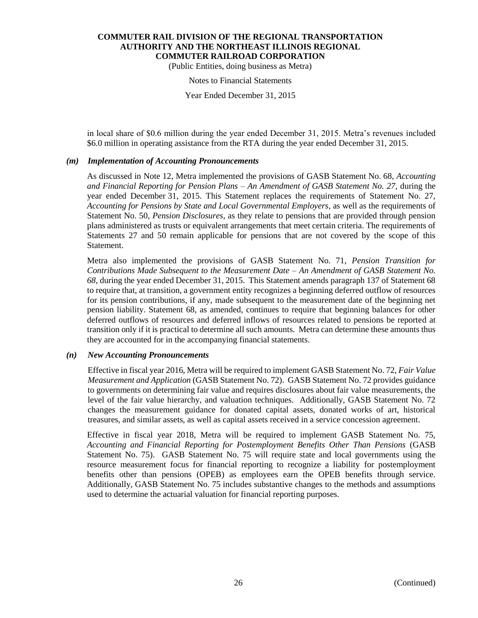(Public Entities, doing business as Metra)

Notes to Financial Statements

Year Ended December 31, 2015

in local share of \$0.6 million during the year ended December 31, 2015. Metra's revenues included \$6.0 million in operating assistance from the RTA during the year ended December 31, 2015.

### *(m) Implementation of Accounting Pronouncements*

As discussed in Note 12, Metra implemented the provisions of GASB Statement No. 68, *Accounting and Financial Reporting for Pension Plans – An Amendment of GASB Statement No. 27,* during the year ended December 31, 2015. This Statement replaces the requirements of Statement No. 27, *Accounting for Pensions by State and Local Governmental Employers*, as well as the requirements of Statement No. 50, *Pension Disclosures*, as they relate to pensions that are provided through pension plans administered as trusts or equivalent arrangements that meet certain criteria. The requirements of Statements 27 and 50 remain applicable for pensions that are not covered by the scope of this Statement.

Metra also implemented the provisions of GASB Statement No. 71, *Pension Transition for Contributions Made Subsequent to the Measurement Date – An Amendment of GASB Statement No. 68*, during the year ended December 31, 2015. This Statement amends paragraph 137 of Statement 68 to require that, at transition, a government entity recognizes a beginning deferred outflow of resources for its pension contributions, if any, made subsequent to the measurement date of the beginning net pension liability. Statement 68, as amended, continues to require that beginning balances for other deferred outflows of resources and deferred inflows of resources related to pensions be reported at transition only if it is practical to determine all such amounts. Metra can determine these amounts thus they are accounted for in the accompanying financial statements.

#### *(n) New Accounting Pronouncements*

Effective in fiscal year 2016, Metra will be required to implement GASB Statement No. 72, *Fair Value Measurement and Application* (GASB Statement No. 72). GASB Statement No. 72 provides guidance to governments on determining fair value and requires disclosures about fair value measurements, the level of the fair value hierarchy, and valuation techniques. Additionally, GASB Statement No. 72 changes the measurement guidance for donated capital assets, donated works of art, historical treasures, and similar assets, as well as capital assets received in a service concession agreement.

Effective in fiscal year 2018, Metra will be required to implement GASB Statement No. 75, *Accounting and Financial Reporting for Postemployment Benefits Other Than Pensions* (GASB Statement No. 75). GASB Statement No. 75 will require state and local governments using the resource measurement focus for financial reporting to recognize a liability for postemployment benefits other than pensions (OPEB) as employees earn the OPEB benefits through service. Additionally, GASB Statement No. 75 includes substantive changes to the methods and assumptions used to determine the actuarial valuation for financial reporting purposes.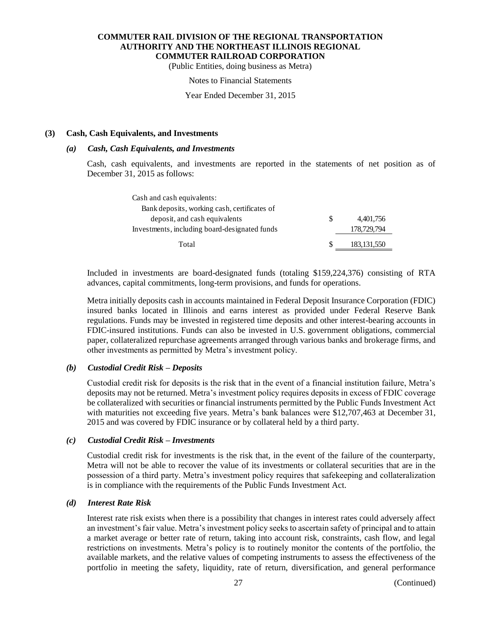(Public Entities, doing business as Metra)

#### Notes to Financial Statements

Year Ended December 31, 2015

#### **(3) Cash, Cash Equivalents, and Investments**

#### *(a) Cash, Cash Equivalents, and Investments*

Cash, cash equivalents, and investments are reported in the statements of net position as of December 31, 2015 as follows:

| Cash and cash equivalents:                    |   |               |
|-----------------------------------------------|---|---------------|
| Bank deposits, working cash, certificates of  |   |               |
| deposit, and cash equivalents                 | S | 4.401.756     |
| Investments, including board-designated funds |   | 178,729,794   |
| Total                                         |   | 183, 131, 550 |

Included in investments are board-designated funds (totaling \$159,224,376) consisting of RTA advances, capital commitments, long-term provisions, and funds for operations.

Metra initially deposits cash in accounts maintained in Federal Deposit Insurance Corporation (FDIC) insured banks located in Illinois and earns interest as provided under Federal Reserve Bank regulations. Funds may be invested in registered time deposits and other interest-bearing accounts in FDIC-insured institutions. Funds can also be invested in U.S. government obligations, commercial paper, collateralized repurchase agreements arranged through various banks and brokerage firms, and other investments as permitted by Metra's investment policy.

#### *(b) Custodial Credit Risk – Deposits*

Custodial credit risk for deposits is the risk that in the event of a financial institution failure, Metra's deposits may not be returned. Metra's investment policy requires deposits in excess of FDIC coverage be collateralized with securities or financial instruments permitted by the Public Funds Investment Act with maturities not exceeding five years. Metra's bank balances were \$12,707,463 at December 31, 2015 and was covered by FDIC insurance or by collateral held by a third party.

#### *(c) Custodial Credit Risk – Investments*

Custodial credit risk for investments is the risk that, in the event of the failure of the counterparty, Metra will not be able to recover the value of its investments or collateral securities that are in the possession of a third party. Metra's investment policy requires that safekeeping and collateralization is in compliance with the requirements of the Public Funds Investment Act.

#### *(d) Interest Rate Risk*

Interest rate risk exists when there is a possibility that changes in interest rates could adversely affect an investment's fair value. Metra's investment policy seeks to ascertain safety of principal and to attain a market average or better rate of return, taking into account risk, constraints, cash flow, and legal restrictions on investments. Metra's policy is to routinely monitor the contents of the portfolio, the available markets, and the relative values of competing instruments to assess the effectiveness of the portfolio in meeting the safety, liquidity, rate of return, diversification, and general performance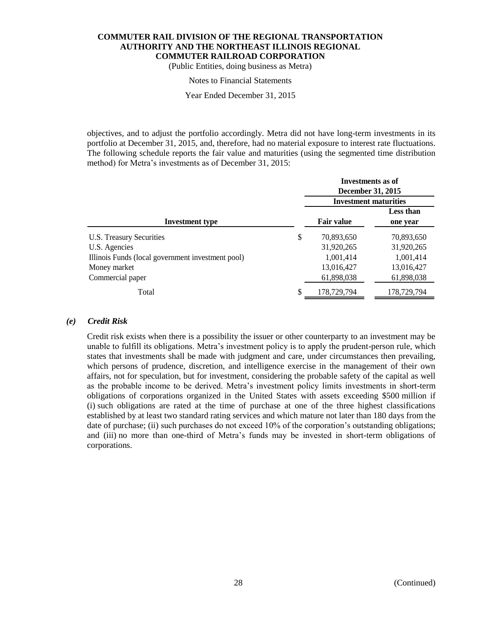(Public Entities, doing business as Metra)

#### Notes to Financial Statements

Year Ended December 31, 2015

objectives, and to adjust the portfolio accordingly. Metra did not have long-term investments in its portfolio at December 31, 2015, and, therefore, had no material exposure to interest rate fluctuations. The following schedule reports the fair value and maturities (using the segmented time distribution method) for Metra's investments as of December 31, 2015:

|                                                   | Investments as of<br>December 31, 2015<br><b>Investment maturities</b> |                       |  |
|---------------------------------------------------|------------------------------------------------------------------------|-----------------------|--|
| Investment type                                   | <b>Fair value</b>                                                      | Less than<br>one year |  |
| U.S. Treasury Securities                          | \$<br>70,893,650                                                       | 70,893,650            |  |
| U.S. Agencies                                     | 31,920,265                                                             | 31,920,265            |  |
| Illinois Funds (local government investment pool) | 1,001,414                                                              | 1,001,414             |  |
| Money market                                      | 13,016,427                                                             | 13,016,427            |  |
| Commercial paper                                  | 61,898,038                                                             | 61,898,038            |  |
| Total                                             | \$<br>178,729,794                                                      | 178,729,794           |  |

#### *(e) Credit Risk*

Credit risk exists when there is a possibility the issuer or other counterparty to an investment may be unable to fulfill its obligations. Metra's investment policy is to apply the prudent-person rule, which states that investments shall be made with judgment and care, under circumstances then prevailing, which persons of prudence, discretion, and intelligence exercise in the management of their own affairs, not for speculation, but for investment, considering the probable safety of the capital as well as the probable income to be derived. Metra's investment policy limits investments in short-term obligations of corporations organized in the United States with assets exceeding \$500 million if (i) such obligations are rated at the time of purchase at one of the three highest classifications established by at least two standard rating services and which mature not later than 180 days from the date of purchase; (ii) such purchases do not exceed 10% of the corporation's outstanding obligations; and (iii) no more than one-third of Metra's funds may be invested in short-term obligations of corporations.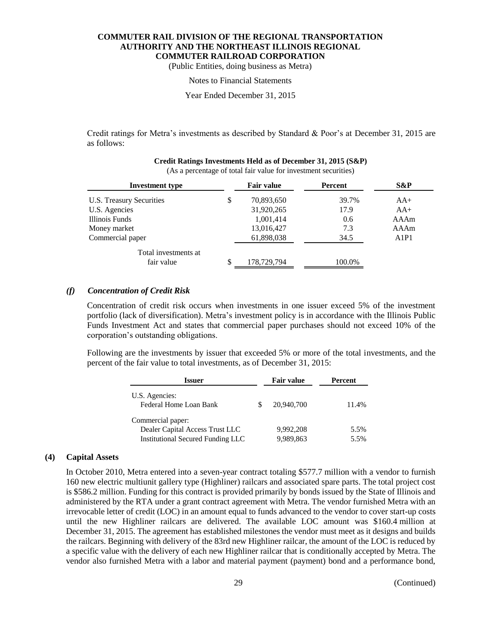(Public Entities, doing business as Metra)

#### Notes to Financial Statements

Year Ended December 31, 2015

Credit ratings for Metra's investments as described by Standard & Poor's at December 31, 2015 are as follows:

| <b>Investment type</b>   |    | <b>Fair value</b> | Percent | S&P   |  |
|--------------------------|----|-------------------|---------|-------|--|
| U.S. Treasury Securities | \$ | 70,893,650        | 39.7%   | $AA+$ |  |
| U.S. Agencies            |    | 31,920,265        | 17.9    | $AA+$ |  |
| Illinois Funds           |    | 1,001,414         | 0.6     | AAAm  |  |
| Money market             |    | 13,016,427        | 7.3     | AAAm  |  |
| Commercial paper         |    | 61,898,038        | 34.5    | A1P1  |  |
| Total investments at     |    |                   |         |       |  |
| fair value               | \$ | 178,729,794       | 100.0%  |       |  |

#### **Credit Ratings Investments Held as of December 31, 2015 (S&P)** (As a percentage of total fair value for investment securities)

#### *(f) Concentration of Credit Risk*

Concentration of credit risk occurs when investments in one issuer exceed 5% of the investment portfolio (lack of diversification). Metra's investment policy is in accordance with the Illinois Public Funds Investment Act and states that commercial paper purchases should not exceed 10% of the corporation's outstanding obligations.

Following are the investments by issuer that exceeded 5% or more of the total investments, and the percent of the fair value to total investments, as of December 31, 2015:

| Issuer                                   | <b>Fair value</b> | Percent |
|------------------------------------------|-------------------|---------|
| U.S. Agencies:<br>Federal Home Loan Bank | 20,940,700        | 11.4%   |
| Commercial paper:                        |                   |         |
| Dealer Capital Access Trust LLC          | 9,992,208         | 5.5%    |
| <b>Institutional Secured Funding LLC</b> | 9,989,863         | 5.5%    |

#### **(4) Capital Assets**

In October 2010, Metra entered into a seven-year contract totaling \$577.7 million with a vendor to furnish 160 new electric multiunit gallery type (Highliner) railcars and associated spare parts. The total project cost is \$586.2 million. Funding for this contract is provided primarily by bonds issued by the State of Illinois and administered by the RTA under a grant contract agreement with Metra. The vendor furnished Metra with an irrevocable letter of credit (LOC) in an amount equal to funds advanced to the vendor to cover start-up costs until the new Highliner railcars are delivered. The available LOC amount was \$160.4 million at December 31, 2015. The agreement has established milestones the vendor must meet as it designs and builds the railcars. Beginning with delivery of the 83rd new Highliner railcar, the amount of the LOC is reduced by a specific value with the delivery of each new Highliner railcar that is conditionally accepted by Metra. The vendor also furnished Metra with a labor and material payment (payment) bond and a performance bond,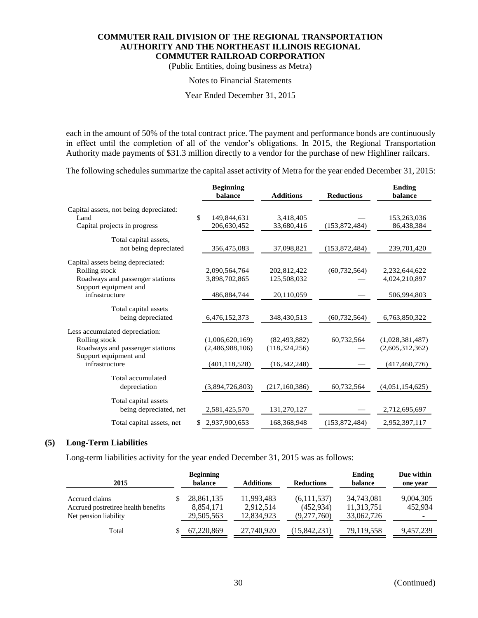(Public Entities, doing business as Metra)

#### Notes to Financial Statements

Year Ended December 31, 2015

each in the amount of 50% of the total contract price. The payment and performance bonds are continuously in effect until the completion of all of the vendor's obligations. In 2015, the Regional Transportation Authority made payments of \$31.3 million directly to a vendor for the purchase of new Highliner railcars.

The following schedules summarize the capital asset activity of Metra for the year ended December 31, 2015:

|                                        | <b>Beginning</b><br>balance | <b>Additions</b> | <b>Reductions</b> | <b>Ending</b><br>balance |
|----------------------------------------|-----------------------------|------------------|-------------------|--------------------------|
| Capital assets, not being depreciated: |                             |                  |                   |                          |
| Land                                   | \$<br>149,844,631           | 3,418,405        |                   | 153,263,036              |
| Capital projects in progress           | 206,630,452                 | 33,680,416       | (153,872,484)     | 86,438,384               |
| Total capital assets,                  |                             |                  |                   |                          |
| not being depreciated                  | 356,475,083                 | 37,098,821       | (153,872,484)     | 239,701,420              |
| Capital assets being depreciated:      |                             |                  |                   |                          |
| Rolling stock                          | 2,090,564,764               | 202,812,422      | (60, 732, 564)    | 2,232,644,622            |
| Roadways and passenger stations        | 3,898,702,865               | 125,508,032      |                   | 4,024,210,897            |
| Support equipment and                  |                             |                  |                   |                          |
| infrastructure                         | 486,884,744                 | 20,110,059       |                   | 506,994,803              |
| Total capital assets                   |                             |                  |                   |                          |
| being depreciated                      | 6,476,152,373               | 348,430,513      | (60, 732, 564)    | 6,763,850,322            |
| Less accumulated depreciation:         |                             |                  |                   |                          |
| Rolling stock                          | (1,006,620,169)             | (82, 493, 882)   | 60,732,564        | (1,028,381,487)          |
| Roadways and passenger stations        | (2,486,988,106)             | (118, 324, 256)  |                   | (2,605,312,362)          |
| Support equipment and                  |                             |                  |                   |                          |
| infrastructure                         | (401, 118, 528)             | (16,342,248)     |                   | (417, 460, 776)          |
| Total accumulated                      |                             |                  |                   |                          |
| depreciation                           | (3,894,726,803)             | (217, 160, 386)  | 60,732,564        | (4,051,154,625)          |
| Total capital assets                   |                             |                  |                   |                          |
| being depreciated, net                 | 2,581,425,570               | 131,270,127      |                   | 2,712,695,697            |
| Total capital assets, net              | 2,937,900,653               | 168,368,948      | (153, 872, 484)   | 2,952,397,117            |

#### **(5) Long-Term Liabilities**

Long-term liabilities activity for the year ended December 31, 2015 was as follows:

| 2015                                                                           | <b>Beginning</b><br>balance           | <b>Additions</b>                      | <b>Reductions</b>                        | Ending<br>balance                      | Due within<br>one year                           |
|--------------------------------------------------------------------------------|---------------------------------------|---------------------------------------|------------------------------------------|----------------------------------------|--------------------------------------------------|
| Accrued claims<br>Accrued postretiree health benefits<br>Net pension liability | 28,861,135<br>8,854,171<br>29,505,563 | 11,993,483<br>2,912,514<br>12,834,923 | (6,111,537)<br>(452, 934)<br>(9,277,760) | 34,743,081<br>11,313,751<br>33,062,726 | 9,004,305<br>452,934<br>$\overline{\phantom{a}}$ |
| Total                                                                          | 67,220,869                            | 27,740,920                            | (15, 842, 231)                           | 79,119,558                             | 9,457,239                                        |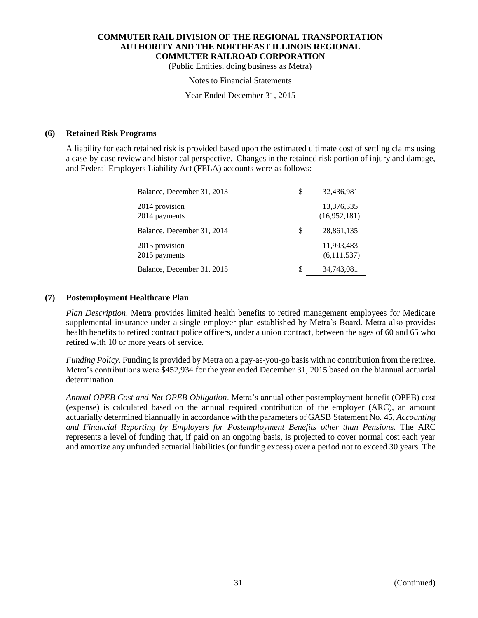(Public Entities, doing business as Metra)

#### Notes to Financial Statements

Year Ended December 31, 2015

#### **(6) Retained Risk Programs**

A liability for each retained risk is provided based upon the estimated ultimate cost of settling claims using a case-by-case review and historical perspective. Changes in the retained risk portion of injury and damage, and Federal Employers Liability Act (FELA) accounts were as follows:

| Balance, December 31, 2013      |   | 32,436,981                 |
|---------------------------------|---|----------------------------|
| 2014 provision<br>2014 payments |   | 13,376,335<br>(16,952,181) |
| Balance, December 31, 2014      | S | 28,861,135                 |
| 2015 provision<br>2015 payments |   | 11,993,483<br>(6,111,537)  |
| Balance, December 31, 2015      |   | 34,743,081                 |

#### **(7) Postemployment Healthcare Plan**

*Plan Description*. Metra provides limited health benefits to retired management employees for Medicare supplemental insurance under a single employer plan established by Metra's Board. Metra also provides health benefits to retired contract police officers, under a union contract, between the ages of 60 and 65 who retired with 10 or more years of service.

*Funding Policy*. Funding is provided by Metra on a pay-as-you-go basis with no contribution from the retiree. Metra's contributions were \$452,934 for the year ended December 31, 2015 based on the biannual actuarial determination.

*Annual OPEB Cost and Net OPEB Obligation*. Metra's annual other postemployment benefit (OPEB) cost (expense) is calculated based on the annual required contribution of the employer (ARC), an amount actuarially determined biannually in accordance with the parameters of GASB Statement No. 45, *Accounting and Financial Reporting by Employers for Postemployment Benefits other than Pensions.* The ARC represents a level of funding that, if paid on an ongoing basis, is projected to cover normal cost each year and amortize any unfunded actuarial liabilities (or funding excess) over a period not to exceed 30 years. The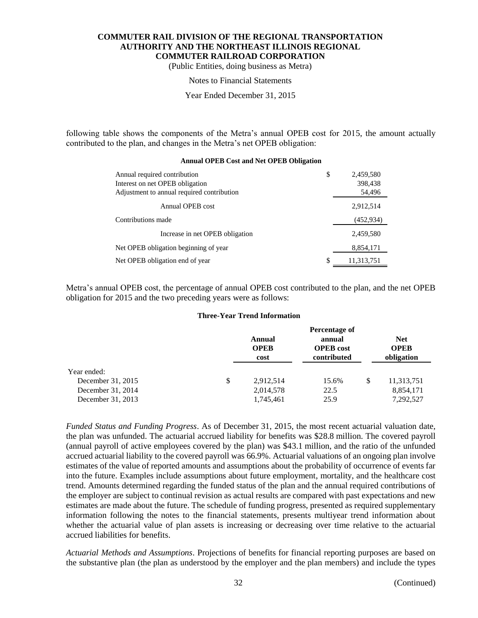(Public Entities, doing business as Metra)

#### Notes to Financial Statements

Year Ended December 31, 2015

following table shows the components of the Metra's annual OPEB cost for 2015, the amount actually contributed to the plan, and changes in the Metra's net OPEB obligation:

| Annual required contribution<br>Interest on net OPEB obligation<br>Adjustment to annual required contribution | \$ | 2,459,580<br>398,438<br>54,496 |
|---------------------------------------------------------------------------------------------------------------|----|--------------------------------|
| Annual OPEB cost                                                                                              |    | 2,912,514                      |
| Contributions made                                                                                            |    | (452, 934)                     |
| Increase in net OPEB obligation                                                                               |    | 2,459,580                      |
| Net OPEB obligation beginning of year                                                                         |    | 8,854,171                      |
| Net OPEB obligation end of year                                                                               | S  | 11,313,751                     |

#### **Annual OPEB Cost and Net OPEB Obligation**

Metra's annual OPEB cost, the percentage of annual OPEB cost contributed to the plan, and the net OPEB obligation for 2015 and the two preceding years were as follows:

#### **Three-Year Trend Information**

|                   | Annual<br><b>OPEB</b><br>cost | Percentage of<br>annual<br><b>OPEB</b> cost<br>contributed |   | <b>Net</b><br><b>OPEB</b><br>obligation |
|-------------------|-------------------------------|------------------------------------------------------------|---|-----------------------------------------|
| Year ended:       |                               |                                                            |   |                                         |
| December 31, 2015 | \$<br>2,912,514               | 15.6%                                                      | S | 11,313,751                              |
| December 31, 2014 | 2,014,578                     | 22.5                                                       |   | 8,854,171                               |
| December 31, 2013 | 1,745,461                     | 25.9                                                       |   | 7,292,527                               |

*Funded Status and Funding Progress*. As of December 31, 2015, the most recent actuarial valuation date, the plan was unfunded. The actuarial accrued liability for benefits was \$28.8 million. The covered payroll (annual payroll of active employees covered by the plan) was \$43.1 million, and the ratio of the unfunded accrued actuarial liability to the covered payroll was 66.9%. Actuarial valuations of an ongoing plan involve estimates of the value of reported amounts and assumptions about the probability of occurrence of events far into the future. Examples include assumptions about future employment, mortality, and the healthcare cost trend. Amounts determined regarding the funded status of the plan and the annual required contributions of the employer are subject to continual revision as actual results are compared with past expectations and new estimates are made about the future. The schedule of funding progress, presented as required supplementary information following the notes to the financial statements, presents multiyear trend information about whether the actuarial value of plan assets is increasing or decreasing over time relative to the actuarial accrued liabilities for benefits.

*Actuarial Methods and Assumptions*. Projections of benefits for financial reporting purposes are based on the substantive plan (the plan as understood by the employer and the plan members) and include the types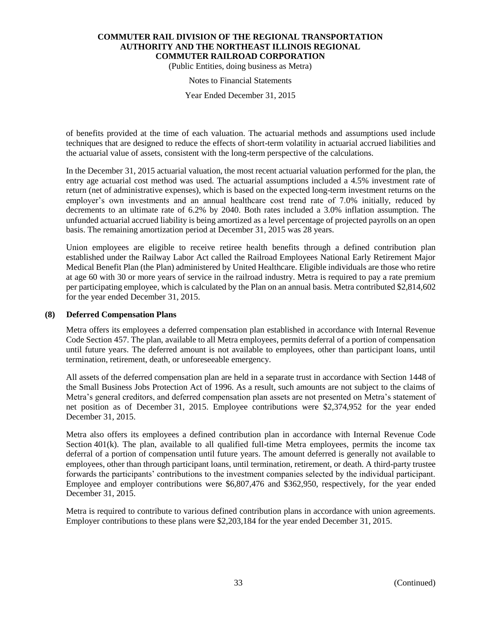(Public Entities, doing business as Metra)

#### Notes to Financial Statements

Year Ended December 31, 2015

of benefits provided at the time of each valuation. The actuarial methods and assumptions used include techniques that are designed to reduce the effects of short-term volatility in actuarial accrued liabilities and the actuarial value of assets, consistent with the long-term perspective of the calculations.

In the December 31, 2015 actuarial valuation, the most recent actuarial valuation performed for the plan, the entry age actuarial cost method was used. The actuarial assumptions included a 4.5% investment rate of return (net of administrative expenses), which is based on the expected long-term investment returns on the employer's own investments and an annual healthcare cost trend rate of 7.0% initially, reduced by decrements to an ultimate rate of 6.2% by 2040. Both rates included a 3.0% inflation assumption. The unfunded actuarial accrued liability is being amortized as a level percentage of projected payrolls on an open basis. The remaining amortization period at December 31, 2015 was 28 years.

Union employees are eligible to receive retiree health benefits through a defined contribution plan established under the Railway Labor Act called the Railroad Employees National Early Retirement Major Medical Benefit Plan (the Plan) administered by United Healthcare. Eligible individuals are those who retire at age 60 with 30 or more years of service in the railroad industry. Metra is required to pay a rate premium per participating employee, which is calculated by the Plan on an annual basis. Metra contributed \$2,814,602 for the year ended December 31, 2015.

#### **(8) Deferred Compensation Plans**

Metra offers its employees a deferred compensation plan established in accordance with Internal Revenue Code Section 457. The plan, available to all Metra employees, permits deferral of a portion of compensation until future years. The deferred amount is not available to employees, other than participant loans, until termination, retirement, death, or unforeseeable emergency.

All assets of the deferred compensation plan are held in a separate trust in accordance with Section 1448 of the Small Business Jobs Protection Act of 1996. As a result, such amounts are not subject to the claims of Metra's general creditors, and deferred compensation plan assets are not presented on Metra's statement of net position as of December 31, 2015. Employee contributions were \$2,374,952 for the year ended December 31, 2015.

Metra also offers its employees a defined contribution plan in accordance with Internal Revenue Code Section  $401(k)$ . The plan, available to all qualified full-time Metra employees, permits the income tax deferral of a portion of compensation until future years. The amount deferred is generally not available to employees, other than through participant loans, until termination, retirement, or death. A third-party trustee forwards the participants' contributions to the investment companies selected by the individual participant. Employee and employer contributions were \$6,807,476 and \$362,950, respectively, for the year ended December 31, 2015.

Metra is required to contribute to various defined contribution plans in accordance with union agreements. Employer contributions to these plans were \$2,203,184 for the year ended December 31, 2015.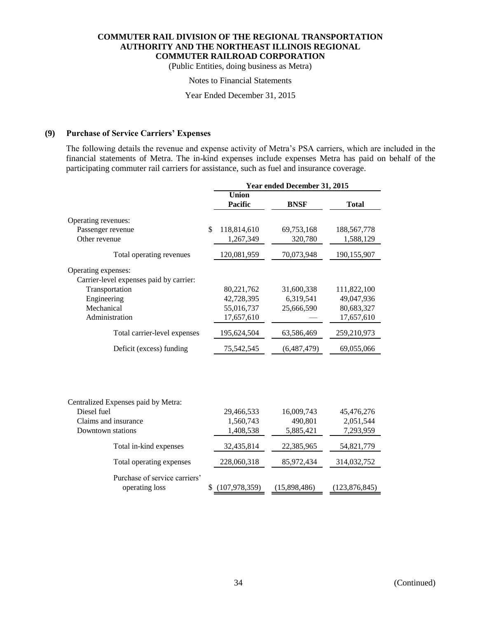(Public Entities, doing business as Metra)

#### Notes to Financial Statements

Year Ended December 31, 2015

### **(9) Purchase of Service Carriers' Expenses**

The following details the revenue and expense activity of Metra's PSA carriers, which are included in the financial statements of Metra. The in-kind expenses include expenses Metra has paid on behalf of the participating commuter rail carriers for assistance, such as fuel and insurance coverage.

|                                                 | Year ended December 31, 2015   |              |                 |  |  |
|-------------------------------------------------|--------------------------------|--------------|-----------------|--|--|
|                                                 | <b>Union</b><br><b>Pacific</b> | <b>BNSF</b>  | <b>Total</b>    |  |  |
| Operating revenues:                             |                                |              |                 |  |  |
| Passenger revenue                               | \$<br>118,814,610              | 69,753,168   | 188,567,778     |  |  |
| Other revenue                                   | 1,267,349                      | 320,780      | 1,588,129       |  |  |
| Total operating revenues                        | 120,081,959                    | 70,073,948   | 190,155,907     |  |  |
| Operating expenses:                             |                                |              |                 |  |  |
| Carrier-level expenses paid by carrier:         |                                |              |                 |  |  |
| Transportation                                  | 80,221,762                     | 31,600,338   | 111,822,100     |  |  |
| Engineering                                     | 42,728,395                     | 6,319,541    | 49,047,936      |  |  |
| Mechanical                                      | 55,016,737                     | 25,666,590   | 80,683,327      |  |  |
| Administration                                  | 17,657,610                     |              | 17,657,610      |  |  |
| Total carrier-level expenses                    | 195,624,504                    | 63,586,469   | 259,210,973     |  |  |
| Deficit (excess) funding                        | 75,542,545                     | (6,487,479)  | 69,055,066      |  |  |
| Centralized Expenses paid by Metra:             |                                |              |                 |  |  |
| Diesel fuel                                     | 29,466,533                     | 16,009,743   | 45,476,276      |  |  |
| Claims and insurance                            | 1,560,743                      | 490,801      | 2,051,544       |  |  |
| Downtown stations                               | 1,408,538                      | 5,885,421    | 7,293,959       |  |  |
| Total in-kind expenses                          | 32,435,814                     | 22,385,965   | 54,821,779      |  |  |
| Total operating expenses                        | 228,060,318                    | 85,972,434   | 314,032,752     |  |  |
| Purchase of service carriers'<br>operating loss | \$<br>(107, 978, 359)          | (15,898,486) | (123, 876, 845) |  |  |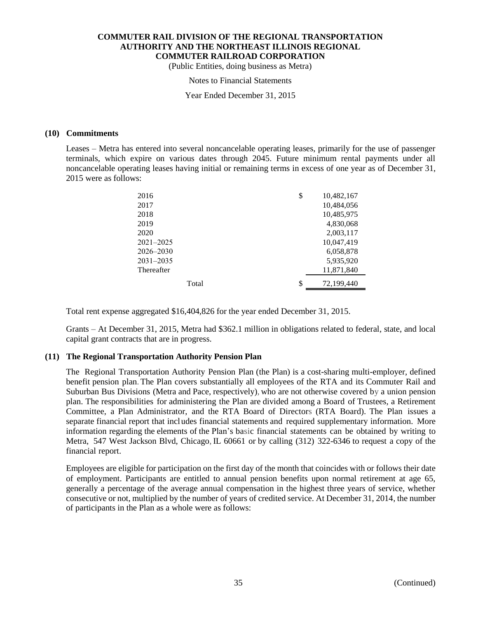(Public Entities, doing business as Metra)

#### Notes to Financial Statements

Year Ended December 31, 2015

#### **(10) Commitments**

Leases – Metra has entered into several noncancelable operating leases, primarily for the use of passenger terminals, which expire on various dates through 2045. Future minimum rental payments under all noncancelable operating leases having initial or remaining terms in excess of one year as of December 31, 2015 were as follows:

| 2016          | \$<br>10,482,167 |
|---------------|------------------|
| 2017          | 10,484,056       |
| 2018          | 10,485,975       |
| 2019          | 4,830,068        |
| 2020          | 2,003,117        |
| $2021 - 2025$ | 10,047,419       |
| 2026-2030     | 6,058,878        |
| $2031 - 2035$ | 5,935,920        |
| Thereafter    | 11,871,840       |
| Total         | \$<br>72,199,440 |

Total rent expense aggregated \$16,404,826 for the year ended December 31, 2015.

Grants – At December 31, 2015, Metra had \$362.1 million in obligations related to federal, state, and local capital grant contracts that are in progress.

#### **(11) The Regional Transportation Authority Pension Plan**

The Regional Transportation Authority Pension Plan (the Plan) is a cost-sharing multi-employer, defined benefit pension plan. The Plan covers substantially all employees of the RTA and its Commuter Rail and Suburban Bus Divisions (Metra and Pace, respectively), who are not otherwise covered by a union pension plan. The responsibilities for administering the Plan are divided among a Board of Trustees, a Retirement Committee, a Plan Administrator, and the RTA Board of Directors (RTA Board). The Plan issues a separate financial report that includes financial statements and required supplementary information. More information regarding the elements of the Plan's basic financial statements can be obtained by writing to Metra, 547 West Jackson Blvd, Chicago, IL 60661 or by calling (312) 322-6346 to request a copy of the financial report.

Employees are eligible for participation on the first day of the month that coincides with or follows their date of employment. Participants are entitled to annual pension benefits upon normal retirement at age 65, generally a percentage of the average annual compensation in the highest three years of service, whether consecutive or not, multiplied by the number of years of credited service. At December 31, 2014, the number of participants in the Plan as a whole were as follows: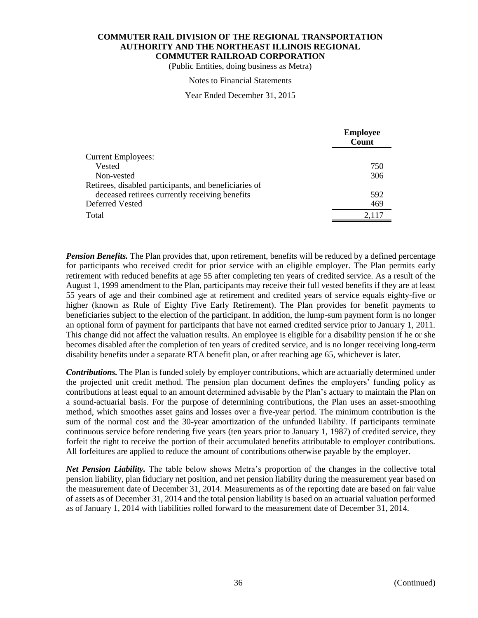(Public Entities, doing business as Metra)

#### Notes to Financial Statements

#### Year Ended December 31, 2015

|                                                       | <b>Employee</b><br>Count |
|-------------------------------------------------------|--------------------------|
| <b>Current Employees:</b>                             |                          |
| Vested                                                | 750                      |
| Non-vested                                            | 306                      |
| Retirees, disabled participants, and beneficiaries of |                          |
| deceased retirees currently receiving benefits        | 592                      |
| Deferred Vested                                       | 469                      |
| Total                                                 | 2,117                    |

*Pension Benefits*. The Plan provides that, upon retirement, benefits will be reduced by a defined percentage for participants who received credit for prior service with an eligible employer. The Plan permits early retirement with reduced benefits at age 55 after completing ten years of credited service. As a result of the August 1, 1999 amendment to the Plan, participants may receive their full vested benefits if they are at least 55 years of age and their combined age at retirement and credited years of service equals eighty-five or higher (known as Rule of Eighty Five Early Retirement). The Plan provides for benefit payments to beneficiaries subject to the election of the participant. In addition, the lump-sum payment form is no longer an optional form of payment for participants that have not earned credited service prior to January 1, 2011. This change did not affect the valuation results. An employee is eligible for a disability pension if he or she becomes disabled after the completion of ten years of credited service, and is no longer receiving long-term disability benefits under a separate RTA benefit plan, or after reaching age 65, whichever is later.

*Contributions.* The Plan is funded solely by employer contributions, which are actuarially determined under the projected unit credit method. The pension plan document defines the employers' funding policy as contributions at least equal to an amount determined advisable by the Plan's actuary to maintain the Plan on a sound-actuarial basis. For the purpose of determining contributions, the Plan uses an asset-smoothing method, which smoothes asset gains and losses over a five-year period. The minimum contribution is the sum of the normal cost and the 30-year amortization of the unfunded liability. If participants terminate continuous service before rendering five years (ten years prior to January 1, 1987) of credited service, they forfeit the right to receive the portion of their accumulated benefits attributable to employer contributions. All forfeitures are applied to reduce the amount of contributions otherwise payable by the employer.

*Net Pension Liability.* The table below shows Metra's proportion of the changes in the collective total pension liability, plan fiduciary net position, and net pension liability during the measurement year based on the measurement date of December 31, 2014. Measurements as of the reporting date are based on fair value of assets as of December 31, 2014 and the total pension liability is based on an actuarial valuation performed as of January 1, 2014 with liabilities rolled forward to the measurement date of December 31, 2014.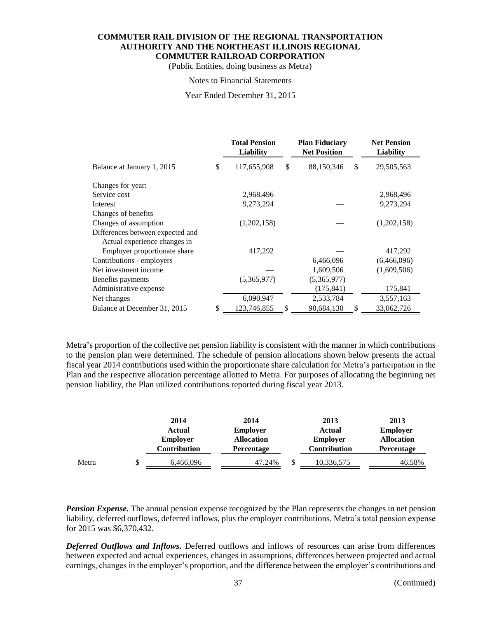(Public Entities, doing business as Metra)

#### Notes to Financial Statements

Year Ended December 31, 2015

|                                  | <b>Total Pension</b><br><b>Liability</b> |    | <b>Plan Fiduciary</b><br><b>Net Position</b> |    | <b>Net Pension</b><br>Liability |
|----------------------------------|------------------------------------------|----|----------------------------------------------|----|---------------------------------|
| Balance at January 1, 2015       | \$<br>117,655,908                        | \$ | 88,150,346                                   | \$ | 29,505,563                      |
| Changes for year:                |                                          |    |                                              |    |                                 |
| Service cost                     | 2,968,496                                |    |                                              |    | 2,968,496                       |
| Interest                         | 9,273,294                                |    |                                              |    | 9,273,294                       |
| Changes of benefits              |                                          |    |                                              |    |                                 |
| Changes of assumption            | (1,202,158)                              |    |                                              |    | (1,202,158)                     |
| Differences between expected and |                                          |    |                                              |    |                                 |
| Actual experience changes in     |                                          |    |                                              |    |                                 |
| Employer proportionate share     | 417,292                                  |    |                                              |    | 417,292                         |
| Contributions - employers        |                                          |    | 6,466,096                                    |    | (6,466,096)                     |
| Net investment income            |                                          |    | 1,609,506                                    |    | (1,609,506)                     |
| Benefits payments                | (5,365,977)                              |    | (5,365,977)                                  |    |                                 |
| Administrative expense           |                                          |    | (175, 841)                                   |    | 175,841                         |
| Net changes                      | 6,090,947                                |    | 2,533,784                                    |    | 3,557,163                       |
| Balance at December 31, 2015     | \$<br>123,746,855                        | S  | 90,684,130                                   | S  | 33,062,726                      |

Metra's proportion of the collective net pension liability is consistent with the manner in which contributions to the pension plan were determined. The schedule of pension allocations shown below presents the actual fiscal year 2014 contributions used within the proportionate share calculation for Metra's participation in the Plan and the respective allocation percentage allotted to Metra. For purposes of allocating the beginning net pension liability, the Plan utilized contributions reported during fiscal year 2013.

|       |   | 2014            | 2014              |   | 2013            | 2013              |
|-------|---|-----------------|-------------------|---|-----------------|-------------------|
|       |   | Actual          | <b>Employer</b>   |   | Actual          | <b>Employer</b>   |
|       |   | <b>Employer</b> | <b>Allocation</b> |   | <b>Employer</b> | <b>Allocation</b> |
|       |   | Contribution    | <b>Percentage</b> |   | Contribution    | <b>Percentage</b> |
| Metra | S | 6,466,096       | 47.24%            | ◡ | 10,336,575      | 46.58%            |

*Pension Expense.* The annual pension expense recognized by the Plan represents the changes in net pension liability, deferred outflows, deferred inflows, plus the employer contributions. Metra's total pension expense for 2015 was \$6,370,432.

*Deferred Outflows and Inflows.* Deferred outflows and inflows of resources can arise from differences between expected and actual experiences, changes in assumptions, differences between projected and actual earnings, changes in the employer's proportion, and the difference between the employer's contributions and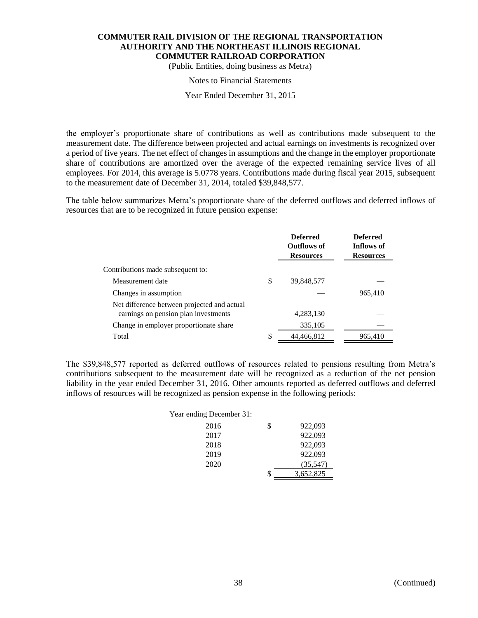(Public Entities, doing business as Metra)

#### Notes to Financial Statements

Year Ended December 31, 2015

the employer's proportionate share of contributions as well as contributions made subsequent to the measurement date. The difference between projected and actual earnings on investments is recognized over a period of five years. The net effect of changes in assumptions and the change in the employer proportionate share of contributions are amortized over the average of the expected remaining service lives of all employees. For 2014, this average is 5.0778 years. Contributions made during fiscal year 2015, subsequent to the measurement date of December 31, 2014, totaled \$39,848,577.

The table below summarizes Metra's proportionate share of the deferred outflows and deferred inflows of resources that are to be recognized in future pension expense:

|                                                                                     | <b>Deferred</b><br><b>Outflows of</b><br><b>Resources</b> | <b>Deferred</b><br>Inflows of<br><b>Resources</b> |
|-------------------------------------------------------------------------------------|-----------------------------------------------------------|---------------------------------------------------|
| Contributions made subsequent to:                                                   |                                                           |                                                   |
| Measurement date                                                                    | \$<br>39,848,577                                          |                                                   |
| Changes in assumption                                                               |                                                           | 965,410                                           |
| Net difference between projected and actual<br>earnings on pension plan investments | 4,283,130                                                 |                                                   |
| Change in employer proportionate share                                              | 335,105                                                   |                                                   |
| Total                                                                               | \$<br>44,466,812                                          | 965,410                                           |

The \$39,848,577 reported as deferred outflows of resources related to pensions resulting from Metra's contributions subsequent to the measurement date will be recognized as a reduction of the net pension liability in the year ended December 31, 2016. Other amounts reported as deferred outflows and deferred inflows of resources will be recognized as pension expense in the following periods:

| Year ending December 31: |                 |
|--------------------------|-----------------|
| 2016                     | \$<br>922,093   |
| 2017                     | 922,093         |
| 2018                     | 922,093         |
| 2019                     | 922,093         |
| 2020                     | (35,547)        |
|                          | \$<br>3,652,825 |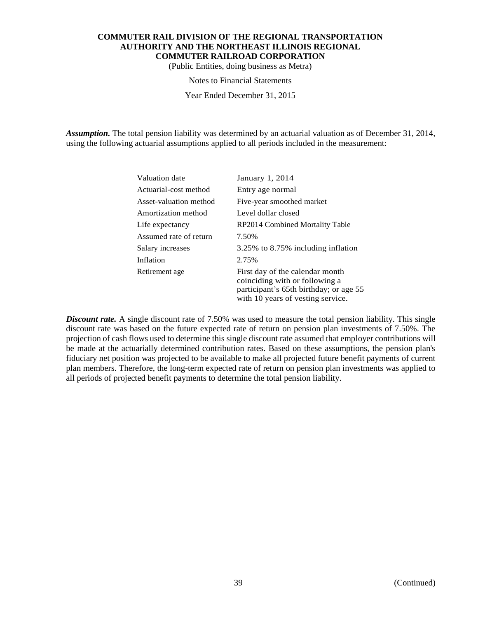(Public Entities, doing business as Metra)

#### Notes to Financial Statements

Year Ended December 31, 2015

*Assumption.* The total pension liability was determined by an actuarial valuation as of December 31, 2014, using the following actuarial assumptions applied to all periods included in the measurement:

| Valuation date         | January 1, 2014                                                                                                                                  |
|------------------------|--------------------------------------------------------------------------------------------------------------------------------------------------|
| Actuarial-cost method  | Entry age normal                                                                                                                                 |
| Asset-valuation method | Five-year smoothed market                                                                                                                        |
| Amortization method    | Level dollar closed                                                                                                                              |
| Life expectancy        | RP2014 Combined Mortality Table                                                                                                                  |
| Assumed rate of return | 7.50%                                                                                                                                            |
| Salary increases       | 3.25% to 8.75% including inflation                                                                                                               |
| Inflation              | 2.75%                                                                                                                                            |
| Retirement age         | First day of the calendar month<br>coinciding with or following a<br>participant's 65th birthday; or age 55<br>with 10 years of vesting service. |

*Discount rate.* A single discount rate of 7.50% was used to measure the total pension liability. This single discount rate was based on the future expected rate of return on pension plan investments of 7.50%. The projection of cash flows used to determine this single discount rate assumed that employer contributions will be made at the actuarially determined contribution rates. Based on these assumptions, the pension plan's fiduciary net position was projected to be available to make all projected future benefit payments of current plan members. Therefore, the long-term expected rate of return on pension plan investments was applied to all periods of projected benefit payments to determine the total pension liability.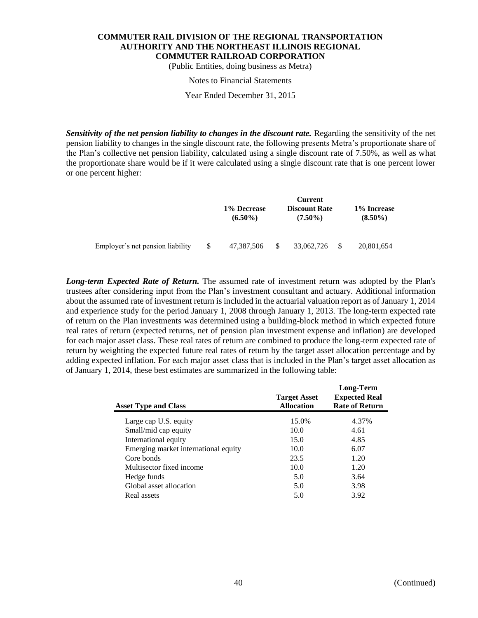(Public Entities, doing business as Metra)

#### Notes to Financial Statements

Year Ended December 31, 2015

*Sensitivity of the net pension liability to changes in the discount rate.* Regarding the sensitivity of the net pension liability to changes in the single discount rate, the following presents Metra's proportionate share of the Plan's collective net pension liability, calculated using a single discount rate of 7.50%, as well as what the proportionate share would be if it were calculated using a single discount rate that is one percent lower or one percent higher:

|                                  | Current                   |    |                                    |  |                           |  |  |
|----------------------------------|---------------------------|----|------------------------------------|--|---------------------------|--|--|
|                                  | 1% Decrease<br>$(6.50\%)$ |    | <b>Discount Rate</b><br>$(7.50\%)$ |  | 1% Increase<br>$(8.50\%)$ |  |  |
| Employer's net pension liability | 47,387,506                | -S | 33,062,726                         |  | 20,801,654                |  |  |

*Long-term Expected Rate of Return.* The assumed rate of investment return was adopted by the Plan's trustees after considering input from the Plan's investment consultant and actuary. Additional information about the assumed rate of investment return is included in the actuarial valuation report as of January 1, 2014 and experience study for the period January 1, 2008 through January 1, 2013. The long-term expected rate of return on the Plan investments was determined using a building-block method in which expected future real rates of return (expected returns, net of pension plan investment expense and inflation) are developed for each major asset class. These real rates of return are combined to produce the long-term expected rate of return by weighting the expected future real rates of return by the target asset allocation percentage and by adding expected inflation. For each major asset class that is included in the Plan's target asset allocation as of January 1, 2014, these best estimates are summarized in the following table:

| <b>Asset Type and Class</b>          | <b>Target Asset</b><br><b>Allocation</b> | Long-Term<br><b>Expected Real</b><br><b>Rate of Return</b> |
|--------------------------------------|------------------------------------------|------------------------------------------------------------|
| Large cap U.S. equity                | 15.0%                                    | 4.37%                                                      |
| Small/mid cap equity                 | 10.0                                     | 4.61                                                       |
| International equity                 | 15.0                                     | 4.85                                                       |
| Emerging market international equity | 10.0                                     | 6.07                                                       |
| Core bonds                           | 23.5                                     | 1.20                                                       |
| Multisector fixed income             | 10.0                                     | 1.20                                                       |
| Hedge funds                          | 5.0                                      | 3.64                                                       |
| Global asset allocation              | 5.0                                      | 3.98                                                       |
| Real assets                          | 5.0                                      | 3.92                                                       |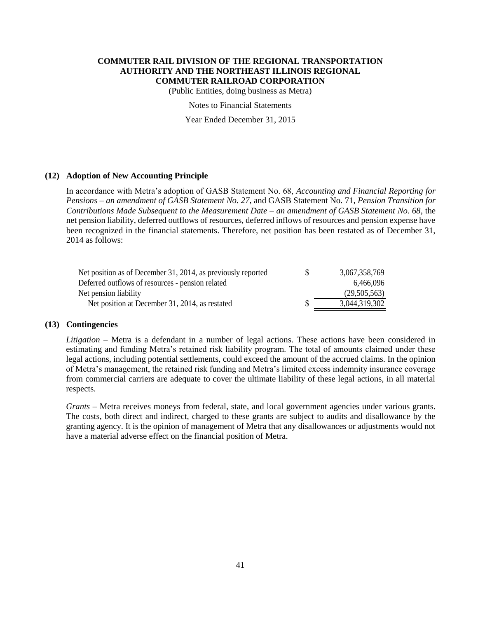(Public Entities, doing business as Metra)

Notes to Financial Statements

Year Ended December 31, 2015

#### **(12) Adoption of New Accounting Principle**

In accordance with Metra's adoption of GASB Statement No. 68, *Accounting and Financial Reporting for Pensions – an amendment of GASB Statement No. 27*, and GASB Statement No. 71, *Pension Transition for Contributions Made Subsequent to the Measurement Date – an amendment of GASB Statement No. 68,* the net pension liability, deferred outflows of resources, deferred inflows of resources and pension expense have been recognized in the financial statements. Therefore, net position has been restated as of December 31, 2014 as follows:

| Net position as of December 31, 2014, as previously reported | S. | 3,067,358,769 |
|--------------------------------------------------------------|----|---------------|
| Deferred outflows of resources - pension related             |    | 6.466.096     |
| Net pension liability                                        |    | (29,505,563)  |
| Net position at December 31, 2014, as restated               |    | 3,044,319,302 |

#### **(13) Contingencies**

*Litigation* – Metra is a defendant in a number of legal actions. These actions have been considered in estimating and funding Metra's retained risk liability program. The total of amounts claimed under these legal actions, including potential settlements, could exceed the amount of the accrued claims. In the opinion of Metra's management, the retained risk funding and Metra's limited excess indemnity insurance coverage from commercial carriers are adequate to cover the ultimate liability of these legal actions, in all material respects.

*Grants* – Metra receives moneys from federal, state, and local government agencies under various grants. The costs, both direct and indirect, charged to these grants are subject to audits and disallowance by the granting agency. It is the opinion of management of Metra that any disallowances or adjustments would not have a material adverse effect on the financial position of Metra.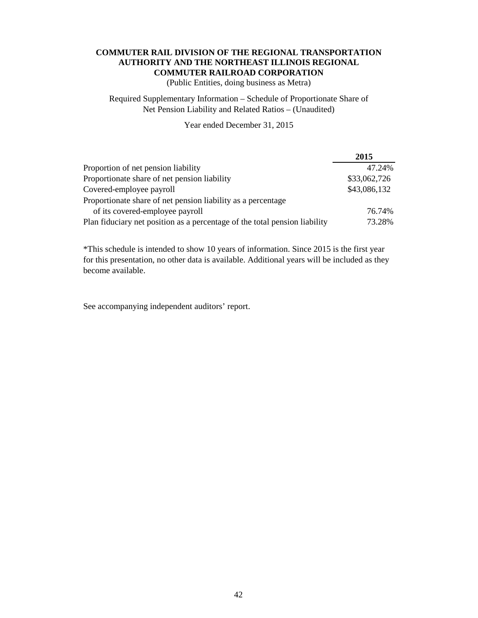(Public Entities, doing business as Metra)

# Required Supplementary Information – Schedule of Proportionate Share of Net Pension Liability and Related Ratios – (Unaudited)

# Year ended December 31, 2015

|                                                                            | 2015         |
|----------------------------------------------------------------------------|--------------|
| Proportion of net pension liability                                        | 47.24%       |
| Proportionate share of net pension liability                               | \$33,062,726 |
| Covered-employee payroll                                                   | \$43,086,132 |
| Proportionate share of net pension liability as a percentage               |              |
| of its covered-employee payroll                                            | 76.74%       |
| Plan fiduciary net position as a percentage of the total pension liability | 73.28%       |

\*This schedule is intended to show 10 years of information. Since 2015 is the first year for this presentation, no other data is available. Additional years will be included as they become available.

See accompanying independent auditors' report.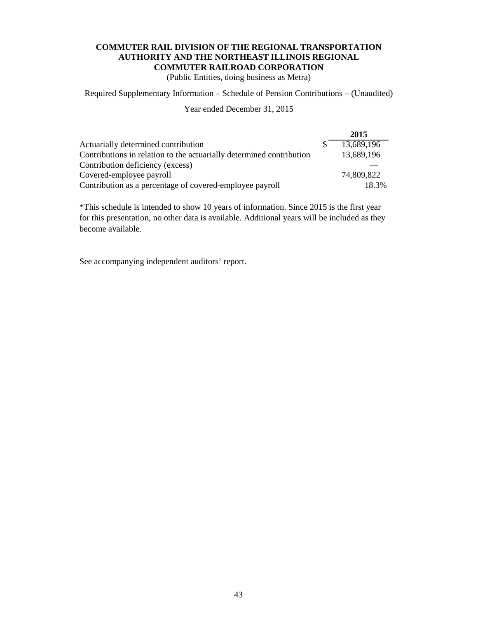(Public Entities, doing business as Metra)

Required Supplementary Information – Schedule of Pension Contributions – (Unaudited)

Year ended December 31, 2015

|                                                                      | 2015       |
|----------------------------------------------------------------------|------------|
| Actuarially determined contribution                                  | 13,689,196 |
| Contributions in relation to the actuarially determined contribution | 13,689,196 |
| Contribution deficiency (excess)                                     |            |
| Covered-employee payroll                                             | 74,809,822 |
| Contribution as a percentage of covered-employee payroll             | 18.3%      |

\*This schedule is intended to show 10 years of information. Since 2015 is the first year for this presentation, no other data is available. Additional years will be included as they become available.

See accompanying independent auditors' report.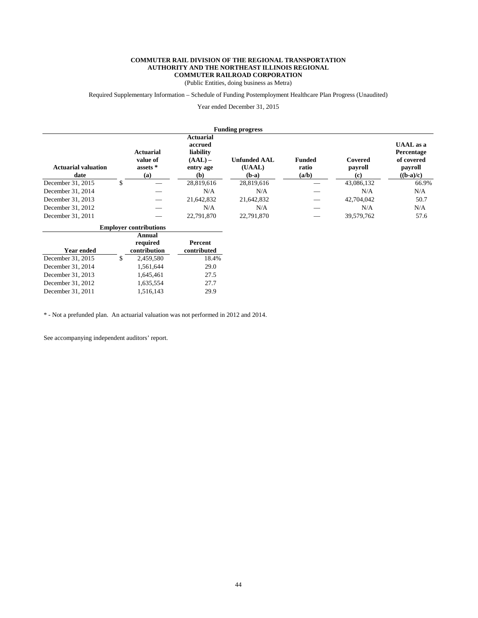(Public Entities, doing business as Metra)

Required Supplementary Information – Schedule of Funding Postemployment Healthcare Plan Progress (Unaudited)

Year ended December 31, 2015

|                                    |                                                 |                                                                           | <b>Funding progress</b>                  |                                 |                           |                                                                        |
|------------------------------------|-------------------------------------------------|---------------------------------------------------------------------------|------------------------------------------|---------------------------------|---------------------------|------------------------------------------------------------------------|
| <b>Actuarial valuation</b><br>date | <b>Actuarial</b><br>value of<br>assets *<br>(a) | <b>Actuarial</b><br>accrued<br>liability<br>$(AAL)$ –<br>entry age<br>(b) | <b>Unfunded AAL</b><br>(UAAL)<br>$(b-a)$ | <b>Funded</b><br>ratio<br>(a/b) | Covered<br>payroll<br>(c) | <b>UAAL</b> as a<br>Percentage<br>of covered<br>payroll<br>$((b-a)/c)$ |
| December 31, 2015                  | \$                                              | 28,819,616                                                                | 28,819,616                               |                                 | 43,086,132                | 66.9%                                                                  |
| December 31, 2014                  |                                                 | N/A                                                                       | N/A                                      |                                 | N/A                       | N/A                                                                    |
| December 31, 2013                  |                                                 | 21,642,832                                                                | 21,642,832                               |                                 | 42,704,042                | 50.7                                                                   |
| December 31, 2012                  |                                                 | N/A                                                                       | N/A                                      |                                 | N/A                       | N/A                                                                    |
| December 31, 2011                  |                                                 | 22,791,870                                                                | 22,791,870                               |                                 | 39,579,762                | 57.6                                                                   |
|                                    | <b>Employer contributions</b>                   |                                                                           |                                          |                                 |                           |                                                                        |
| <b>Year ended</b>                  | Annual<br>required<br>contribution              | Percent<br>contributed                                                    |                                          |                                 |                           |                                                                        |
| December 31, 2015                  | \$<br>2,459,580                                 | 18.4%                                                                     |                                          |                                 |                           |                                                                        |
| December 31, 2014                  | 1,561,644                                       | 29.0                                                                      |                                          |                                 |                           |                                                                        |
| December 31, 2013                  | 1,645,461                                       | 27.5                                                                      |                                          |                                 |                           |                                                                        |

\* - Not a prefunded plan. An actuarial valuation was not performed in 2012 and 2014.

December 31, 2013 1,645,461 27.5<br>December 31, 2012 1,635,554 27.7 December 31, 2012 1,635,554 27.7<br>December 31, 2011 1,516,143 29.9

See accompanying independent auditors' report.

December 31, 2011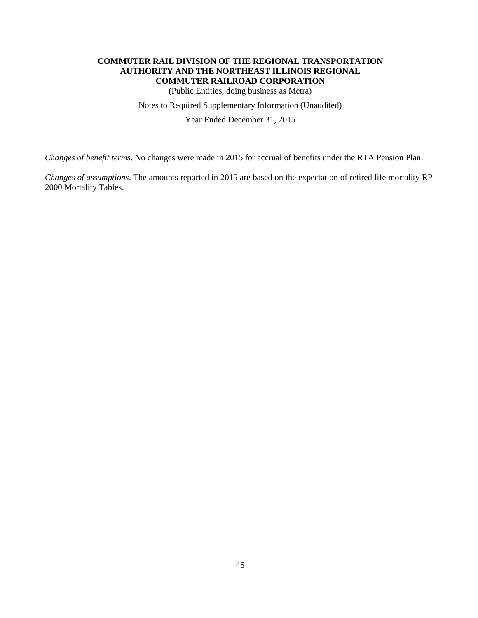(Public Entities, doing business as Metra)

Notes to Required Supplementary Information (Unaudited)

Year Ended December 31, 2015

*Changes of benefit terms*. No changes were made in 2015 for accrual of benefits under the RTA Pension Plan.

*Changes of assumptions*. The amounts reported in 2015 are based on the expectation of retired life mortality RP-2000 Mortality Tables.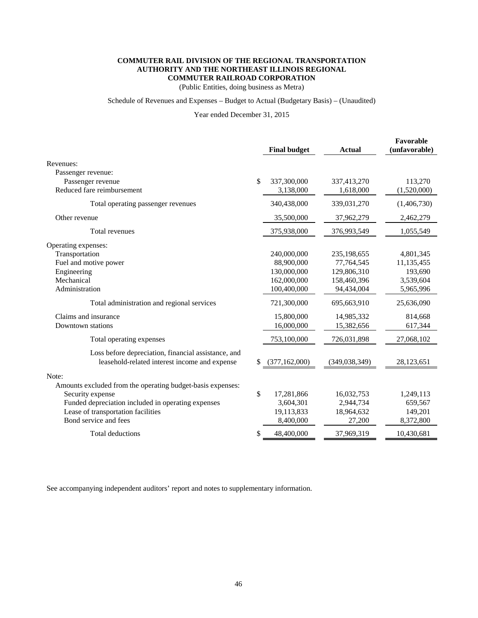(Public Entities, doing business as Metra)

### Schedule of Revenues and Expenses – Budget to Actual (Budgetary Basis) – (Unaudited)

Year ended December 31, 2015

|                                                                                                      | <b>Final budget</b>   | <b>Actual</b>   | Favorable<br>(unfavorable) |
|------------------------------------------------------------------------------------------------------|-----------------------|-----------------|----------------------------|
| Revenues:                                                                                            |                       |                 |                            |
| Passenger revenue:                                                                                   |                       |                 |                            |
| Passenger revenue                                                                                    | \$<br>337,300,000     | 337,413,270     | 113,270                    |
| Reduced fare reimbursement                                                                           | 3,138,000             | 1,618,000       | (1,520,000)                |
| Total operating passenger revenues                                                                   | 340,438,000           | 339,031,270     | (1,406,730)                |
| Other revenue                                                                                        | 35,500,000            | 37,962,279      | 2,462,279                  |
| Total revenues                                                                                       | 375,938,000           | 376,993,549     | 1,055,549                  |
| Operating expenses:                                                                                  |                       |                 |                            |
| Transportation                                                                                       | 240,000,000           | 235,198,655     | 4,801,345                  |
| Fuel and motive power                                                                                | 88,900,000            | 77,764,545      | 11,135,455                 |
| Engineering                                                                                          | 130,000,000           | 129,806,310     | 193,690                    |
| Mechanical                                                                                           | 162,000,000           | 158,460,396     | 3,539,604                  |
| Administration                                                                                       | 100,400,000           | 94,434,004      | 5,965,996                  |
| Total administration and regional services                                                           | 721,300,000           | 695,663,910     | 25,636,090                 |
| Claims and insurance                                                                                 | 15,800,000            | 14,985,332      | 814,668                    |
| Downtown stations                                                                                    | 16,000,000            | 15,382,656      | 617,344                    |
| Total operating expenses                                                                             | 753,100,000           | 726,031,898     | 27,068,102                 |
| Loss before depreciation, financial assistance, and<br>leasehold-related interest income and expense | \$<br>(377, 162, 000) | (349, 038, 349) | 28,123,651                 |
| Note:                                                                                                |                       |                 |                            |
| Amounts excluded from the operating budget-basis expenses:                                           |                       |                 |                            |
| Security expense                                                                                     | \$<br>17,281,866      | 16,032,753      | 1,249,113                  |
| Funded depreciation included in operating expenses                                                   | 3,604,301             | 2,944,734       | 659,567                    |
| Lease of transportation facilities                                                                   | 19,113,833            | 18,964,632      | 149,201                    |
| Bond service and fees                                                                                | 8,400,000             | 27,200          | 8,372,800                  |
| Total deductions                                                                                     | 48,400,000            | 37,969,319      | 10,430,681                 |
|                                                                                                      |                       |                 |                            |

See accompanying independent auditors' report and notes to supplementary information.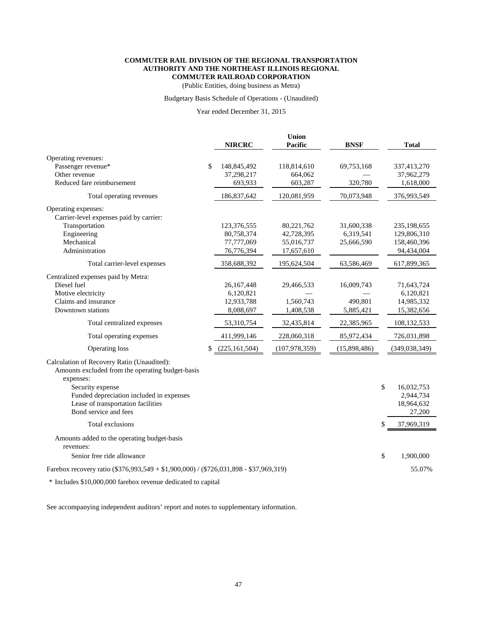(Public Entities, doing business as Metra)

#### Budgetary Basis Schedule of Operations - (Unaudited)

#### Year ended December 31, 2015

|                                                                                                             | <b>NIRCRC</b>         | <b>Union</b><br>Pacific | <b>BNSF</b>  | <b>Total</b>     |
|-------------------------------------------------------------------------------------------------------------|-----------------------|-------------------------|--------------|------------------|
| Operating revenues:                                                                                         |                       |                         |              |                  |
| Passenger revenue*                                                                                          | \$<br>148,845,492     | 118,814,610             | 69,753,168   | 337,413,270      |
| Other revenue                                                                                               | 37,298,217            | 664,062                 |              | 37,962,279       |
| Reduced fare reimbursement                                                                                  | 693,933               | 603,287                 | 320,780      | 1,618,000        |
| Total operating revenues                                                                                    | 186,837,642           | 120,081,959             | 70,073,948   | 376,993,549      |
| Operating expenses:<br>Carrier-level expenses paid by carrier:                                              |                       |                         |              |                  |
| Transportation                                                                                              | 123,376,555           | 80,221,762              | 31,600,338   | 235,198,655      |
| Engineering                                                                                                 | 80,758,374            | 42,728,395              | 6,319,541    | 129,806,310      |
| Mechanical                                                                                                  | 77,777,069            | 55,016,737              | 25,666,590   | 158,460,396      |
| Administration                                                                                              | 76,776,394            | 17,657,610              |              | 94,434,004       |
| Total carrier-level expenses                                                                                | 358,688,392           | 195,624,504             | 63,586,469   | 617,899,365      |
| Centralized expenses paid by Metra:                                                                         |                       |                         |              |                  |
| Diesel fuel                                                                                                 | 26,167,448            | 29,466,533              | 16,009,743   | 71,643,724       |
| Motive electricity                                                                                          | 6,120,821             |                         |              | 6,120,821        |
| Claims and insurance                                                                                        | 12,933,788            | 1,560,743               | 490,801      | 14,985,332       |
| Downtown stations                                                                                           | 8,088,697             | 1,408,538               | 5,885,421    | 15,382,656       |
| Total centralized expenses                                                                                  | 53,310,754            | 32,435,814              | 22,385,965   | 108,132,533      |
|                                                                                                             |                       |                         |              |                  |
| Total operating expenses                                                                                    | 411,999,146           | 228,060,318             | 85,972,434   | 726,031,898      |
| Operating loss                                                                                              | \$<br>(225, 161, 504) | (107, 978, 359)         | (15,898,486) | (349, 038, 349)  |
| Calculation of Recovery Ratio (Unaudited):<br>Amounts excluded from the operating budget-basis<br>expenses: |                       |                         |              |                  |
| Security expense                                                                                            |                       |                         |              | \$<br>16,032,753 |
| Funded depreciation included in expenses                                                                    |                       |                         |              | 2,944,734        |
| Lease of transportation facilities                                                                          |                       |                         |              | 18,964,632       |
| Bond service and fees                                                                                       |                       |                         |              | 27,200           |
| Total exclusions                                                                                            |                       |                         |              | \$<br>37,969,319 |
| Amounts added to the operating budget-basis<br>revenues:                                                    |                       |                         |              |                  |
| Senior free ride allowance                                                                                  |                       |                         |              | \$<br>1,900,000  |
| Farebox recovery ratio (\$376,993,549 + \$1,900,000) / (\$726,031,898 - \$37,969,319)                       |                       |                         |              | 55.07%           |
| * Includes \$10,000,000 farebox revenue dedicated to capital                                                |                       |                         |              |                  |

See accompanying independent auditors' report and notes to supplementary information.